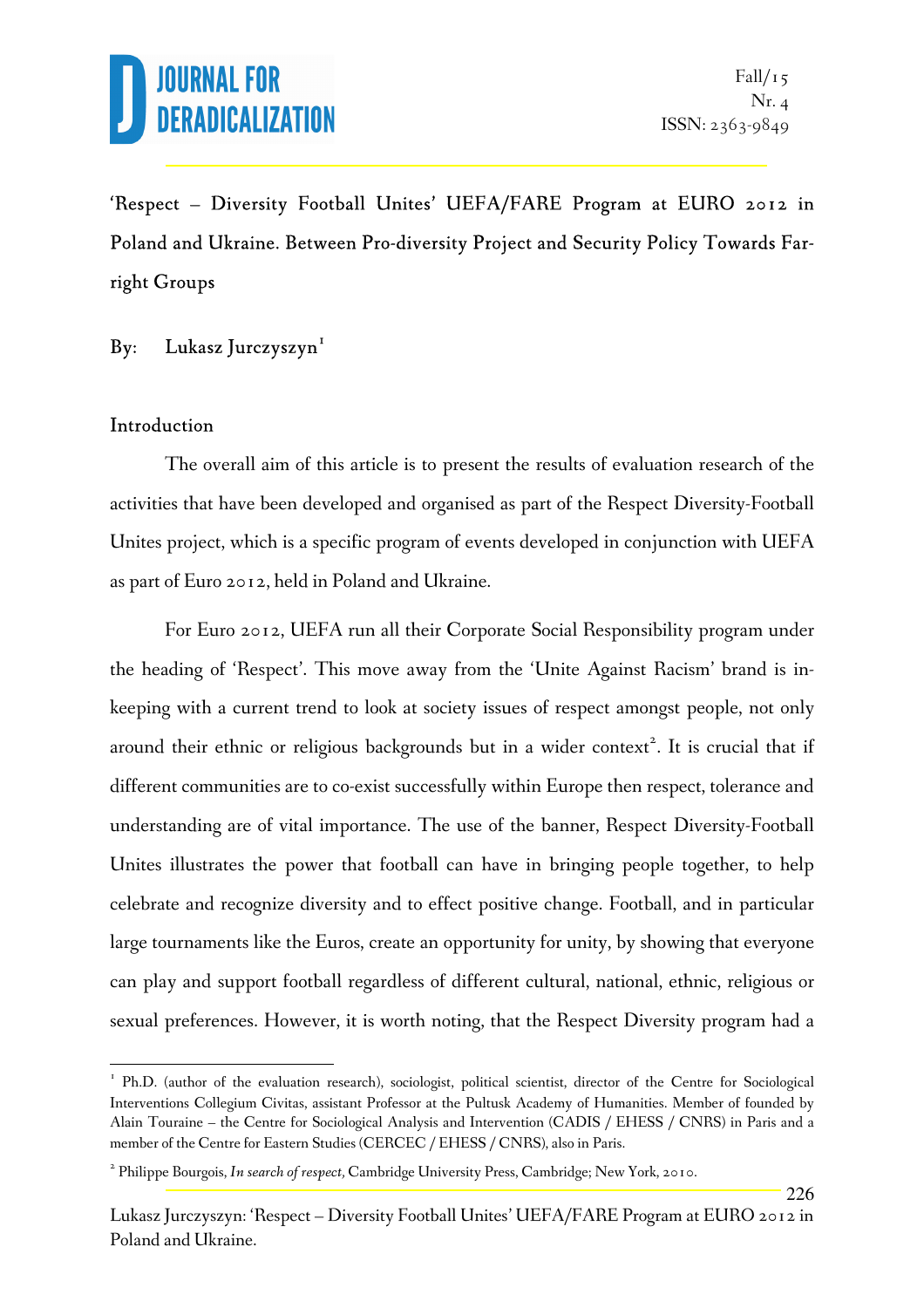

226

'Respect – Diversity Football Unites' UEFA/FARE Program at EURO 2012 in Poland and Ukraine. Between Pro-diversity Project and Security Policy Towards Farright Groups

#### By: Lukasz Jurczyszyn<sup>1</sup>

#### Introduction

 $\overline{a}$ 

 The overall aim of this article is to present the results of evaluation research of the activities that have been developed and organised as part of the Respect Diversity-Football Unites project, which is a specific program of events developed in conjunction with UEFA as part of Euro 2012, held in Poland and Ukraine.

 For Euro 2012, UEFA run all their Corporate Social Responsibility program under the heading of 'Respect'. This move away from the 'Unite Against Racism' brand is inkeeping with a current trend to look at society issues of respect amongst people, not only around their ethnic or religious backgrounds but in a wider context<sup>2</sup>. It is crucial that if different communities are to co-exist successfully within Europe then respect, tolerance and understanding are of vital importance. The use of the banner, Respect Diversity-Football Unites illustrates the power that football can have in bringing people together, to help celebrate and recognize diversity and to effect positive change. Football, and in particular large tournaments like the Euros, create an opportunity for unity, by showing that everyone can play and support football regardless of different cultural, national, ethnic, religious or sexual preferences. However, it is worth noting, that the Respect Diversity program had a

<sup>&</sup>lt;sup>1</sup> Ph.D. (author of the evaluation research), sociologist, political scientist, director of the Centre for Sociological Interventions Collegium Civitas, assistant Professor at the Pultusk Academy of Humanities. Member of founded by Alain Touraine – the Centre for Sociological Analysis and Intervention (CADIS / EHESS / CNRS) in Paris and a member of the Centre for Eastern Studies (CERCEC / EHESS / CNRS), also in Paris.

<sup>2</sup> Philippe Bourgois, *In search of respect,* Cambridge University Press, Cambridge; New York, 2010.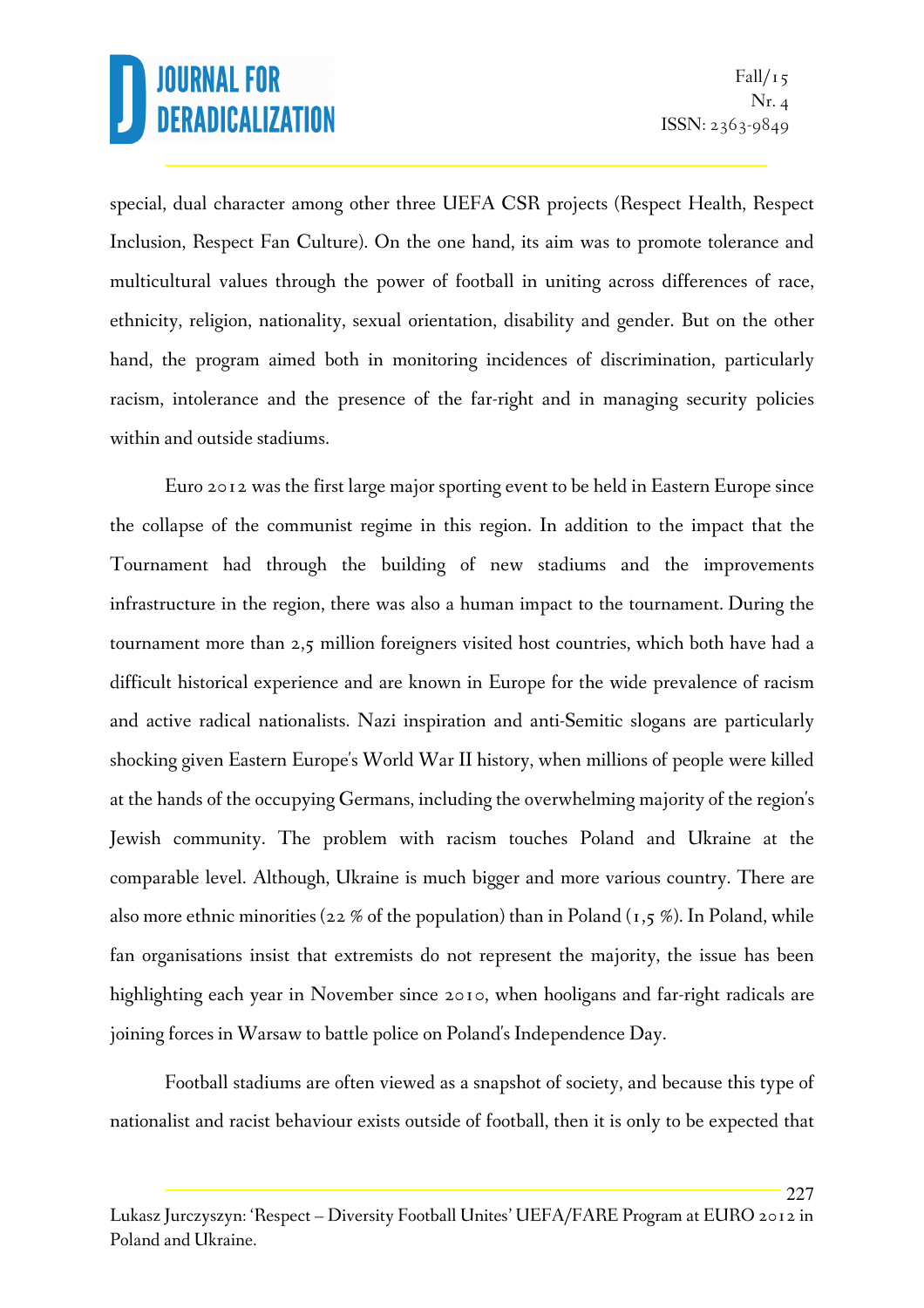227

special, dual character among other three UEFA CSR projects (Respect Health, Respect Inclusion, Respect Fan Culture). On the one hand, its aim was to promote tolerance and multicultural values through the power of football in uniting across differences of race, ethnicity, religion, nationality, sexual orientation, disability and gender. But on the other hand, the program aimed both in monitoring incidences of discrimination, particularly racism, intolerance and the presence of the far-right and in managing security policies within and outside stadiums.

 Euro 2012 was the first large major sporting event to be held in Eastern Europe since the collapse of the communist regime in this region. In addition to the impact that the Tournament had through the building of new stadiums and the improvements infrastructure in the region, there was also a human impact to the tournament. During the tournament more than 2,5 million foreigners visited host countries, which both have had a difficult historical experience and are known in Europe for the wide prevalence of racism and active radical nationalists. Nazi inspiration and anti-Semitic slogans are particularly shocking given Eastern Europe's World War II history, when millions of people were killed at the hands of the occupying Germans, including the overwhelming majority of the region's Jewish community. The problem with racism touches Poland and Ukraine at the comparable level. Although, Ukraine is much bigger and more various country. There are also more ethnic minorities (22 % of the population) than in Poland  $(1,5, 0)$ . In Poland, while fan organisations insist that extremists do not represent the majority, the issue has been highlighting each year in November since 2010, when hooligans and far-right radicals are joining forces in Warsaw to battle police on Poland's Independence Day.

 Football stadiums are often viewed as a snapshot of society, and because this type of nationalist and racist behaviour exists outside of football, then it is only to be expected that

Lukasz Jurczyszyn: 'Respect – Diversity Football Unites' UEFA/FARE Program at EURO 2012 in Poland and Ukraine.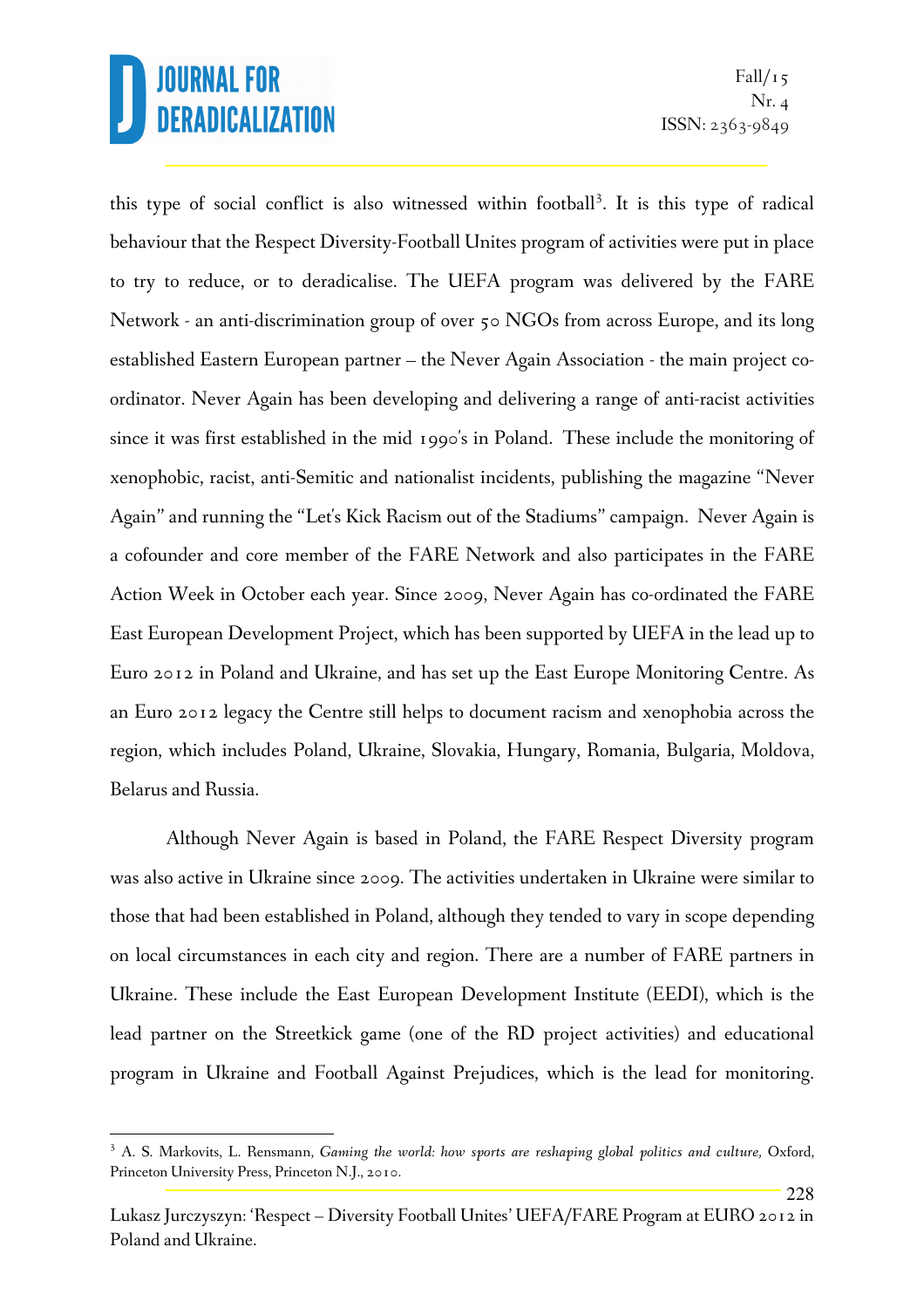l.

228

this type of social conflict is also witnessed within football<sup>3</sup>. It is this type of radical behaviour that the Respect Diversity-Football Unites program of activities were put in place to try to reduce, or to deradicalise. The UEFA program was delivered by the FARE Network - an anti-discrimination group of over 50 NGOs from across Europe, and its long established Eastern European partner – the Never Again Association - the main project coordinator. Never Again has been developing and delivering a range of anti-racist activities since it was first established in the mid 1990's in Poland. These include the monitoring of xenophobic, racist, anti-Semitic and nationalist incidents, publishing the magazine "Never Again" and running the "Let's Kick Racism out of the Stadiums" campaign. Never Again is a cofounder and core member of the FARE Network and also participates in the FARE Action Week in October each year. Since 2009, Never Again has co-ordinated the FARE East European Development Project, which has been supported by UEFA in the lead up to Euro 2012 in Poland and Ukraine, and has set up the East Europe Monitoring Centre. As an Euro 2012 legacy the Centre still helps to document racism and xenophobia across the region, which includes Poland, Ukraine, Slovakia, Hungary, Romania, Bulgaria, Moldova, Belarus and Russia.

Although Never Again is based in Poland, the FARE Respect Diversity program was also active in Ukraine since 2009. The activities undertaken in Ukraine were similar to those that had been established in Poland, although they tended to vary in scope depending on local circumstances in each city and region. There are a number of FARE partners in Ukraine. These include the East European Development Institute (EEDI), which is the lead partner on the Streetkick game (one of the RD project activities) and educational program in Ukraine and Football Against Prejudices, which is the lead for monitoring.

<sup>&</sup>lt;sup>3</sup> A. S. Markovits, L. Rensmann, *Gaming the world: how sports are reshaping global politics and culture, Oxford,* Princeton University Press, Princeton N.J., 2010.

Lukasz Jurczyszyn: 'Respect – Diversity Football Unites' UEFA/FARE Program at EURO 2012 in Poland and Ukraine.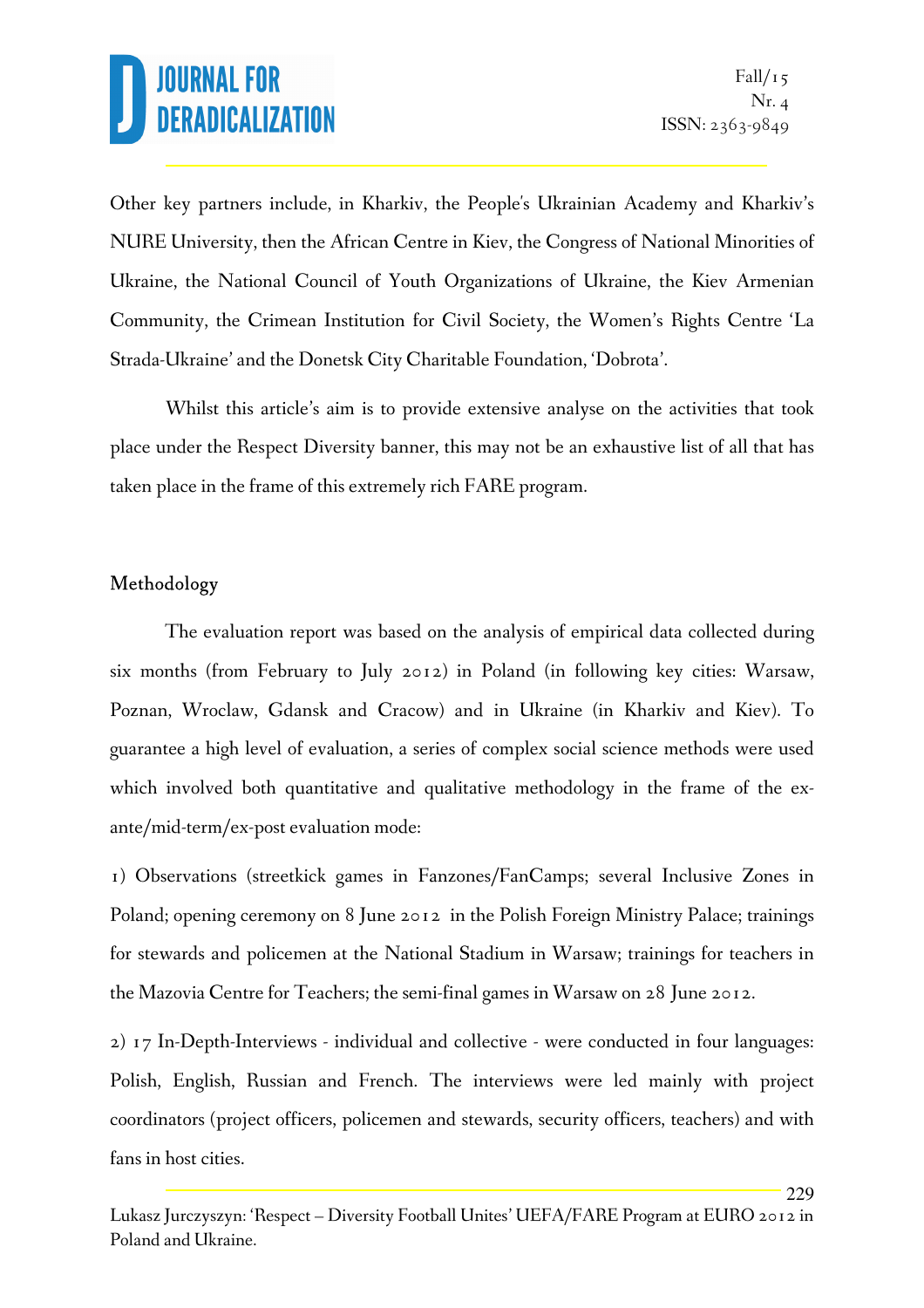229

Other key partners include, in Kharkiv, the People's Ukrainian Academy and Kharkiv's NURE University, then the African Centre in Kiev, the Congress of National Minorities of Ukraine, the National Council of Youth Organizations of Ukraine, the Kiev Armenian Community, the Crimean Institution for Civil Society, the Women's Rights Centre 'La Strada-Ukraine' and the Donetsk City Charitable Foundation, 'Dobrota'.

Whilst this article's aim is to provide extensive analyse on the activities that took place under the Respect Diversity banner, this may not be an exhaustive list of all that has taken place in the frame of this extremely rich FARE program.

#### Methodology

 The evaluation report was based on the analysis of empirical data collected during six months (from February to July 2012) in Poland (in following key cities: Warsaw, Poznan, Wroclaw, Gdansk and Cracow) and in Ukraine (in Kharkiv and Kiev). To guarantee a high level of evaluation, a series of complex social science methods were used which involved both quantitative and qualitative methodology in the frame of the exante/mid-term/ex-post evaluation mode:

1) Observations (streetkick games in Fanzones/FanCamps; several Inclusive Zones in Poland; opening ceremony on 8 June 2012 in the Polish Foreign Ministry Palace; trainings for stewards and policemen at the National Stadium in Warsaw; trainings for teachers in the Mazovia Centre for Teachers; the semi-final games in Warsaw on 28 June 2012.

2) 17 In-Depth-Interviews - individual and collective - were conducted in four languages: Polish, English, Russian and French. The interviews were led mainly with project coordinators (project officers, policemen and stewards, security officers, teachers) and with fans in host cities.

Lukasz Jurczyszyn: 'Respect – Diversity Football Unites' UEFA/FARE Program at EURO 2012 in Poland and Ukraine.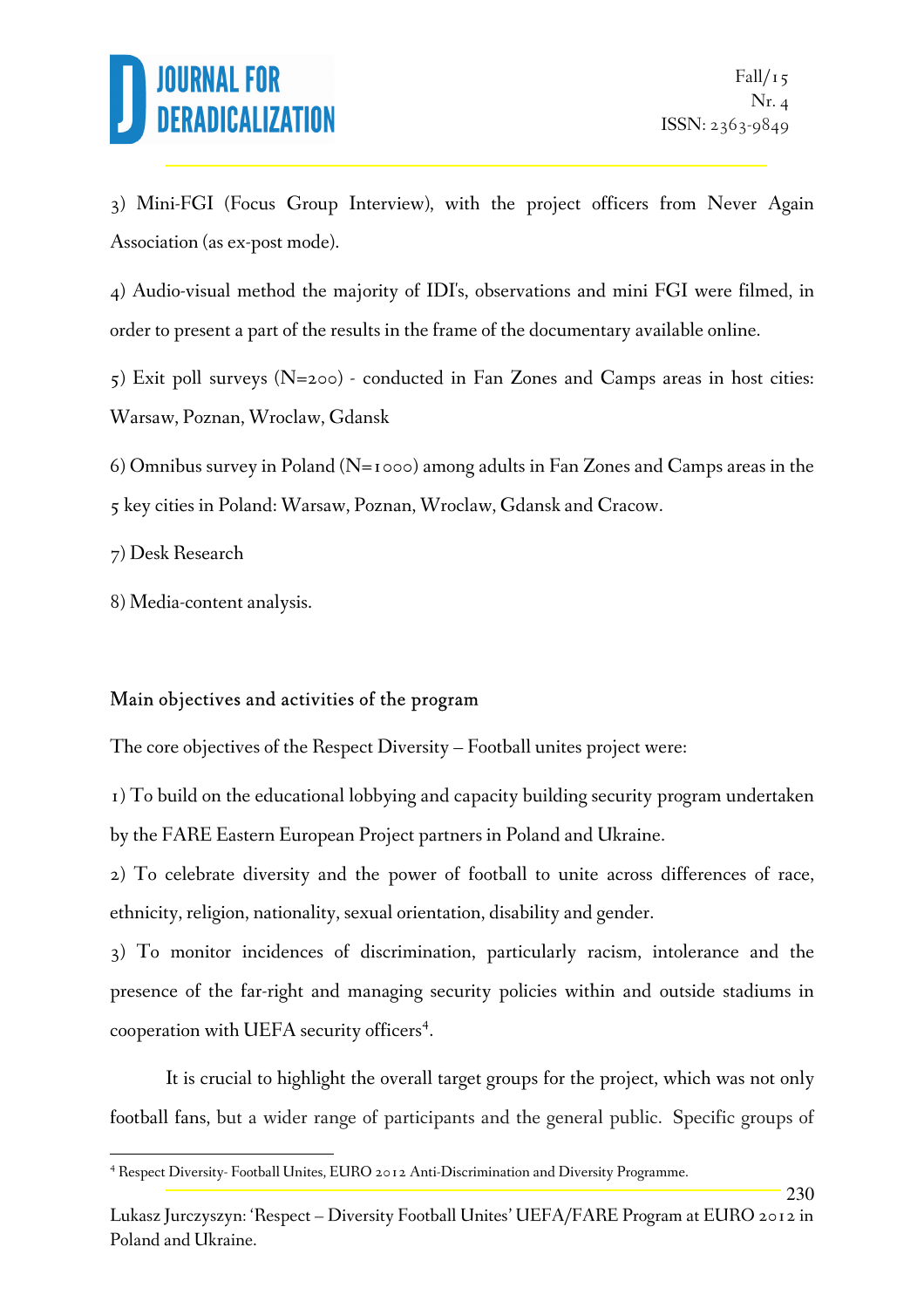230

3) Mini-FGI (Focus Group Interview), with the project officers from Never Again Association (as ex-post mode).

4) Audio-visual method the majority of IDI's, observations and mini FGI were filmed, in order to present a part of the results in the frame of the documentary available online.

5) Exit poll surveys (N=200) - conducted in Fan Zones and Camps areas in host cities: Warsaw, Poznan, Wroclaw, Gdansk

6) Omnibus survey in Poland ( $N=1000$ ) among adults in Fan Zones and Camps areas in the 5 key cities in Poland: Warsaw, Poznan, Wroclaw, Gdansk and Cracow.

7) Desk Research

l.

8) Media-content analysis.

### Main objectives and activities of the program

The core objectives of the Respect Diversity – Football unites project were:

1) To build on the educational lobbying and capacity building security program undertaken by the FARE Eastern European Project partners in Poland and Ukraine.

2) To celebrate diversity and the power of football to unite across differences of race, ethnicity, religion, nationality, sexual orientation, disability and gender.

3) To monitor incidences of discrimination, particularly racism, intolerance and the presence of the far-right and managing security policies within and outside stadiums in cooperation with UEFA security officers<sup>4</sup>.

It is crucial to highlight the overall target groups for the project, which was not only football fans, but a wider range of participants and the general public. Specific groups of

<sup>&</sup>lt;sup>4</sup> Respect Diversity-Football Unites, EURO 2012 Anti-Discrimination and Diversity Programme.

Lukasz Jurczyszyn: 'Respect – Diversity Football Unites' UEFA/FARE Program at EURO 2012 in Poland and Ukraine.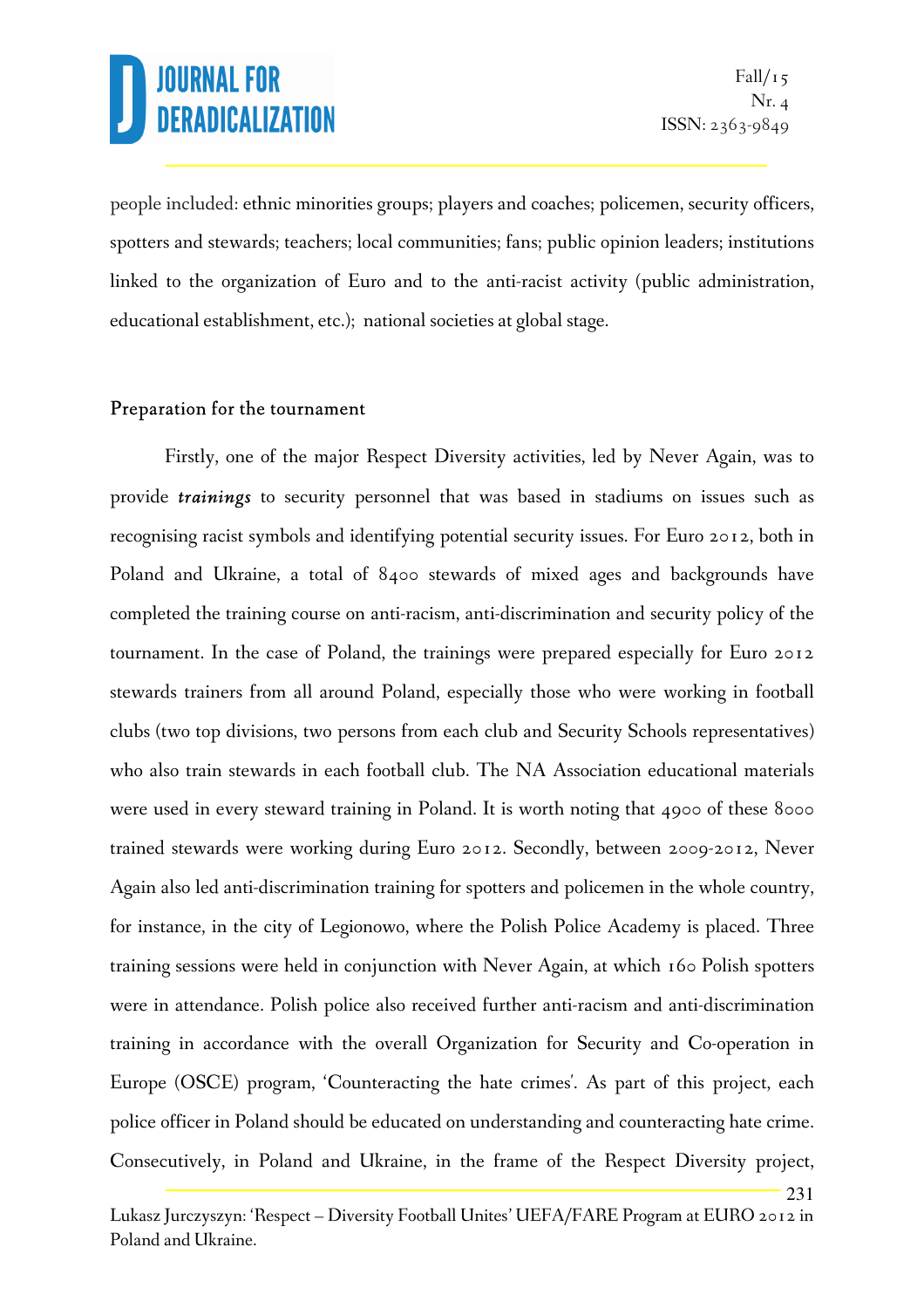231

people included: ethnic minorities groups; players and coaches; policemen, security officers, spotters and stewards; teachers; local communities; fans; public opinion leaders; institutions linked to the organization of Euro and to the anti-racist activity (public administration, educational establishment, etc.); national societies at global stage.

#### Preparation for the tournament

 Firstly, one of the major Respect Diversity activities, led by Never Again, was to provide *trainings* to security personnel that was based in stadiums on issues such as recognising racist symbols and identifying potential security issues. For Euro 2012, both in Poland and Ukraine, a total of 8400 stewards of mixed ages and backgrounds have completed the training course on anti-racism, anti-discrimination and security policy of the tournament. In the case of Poland, the trainings were prepared especially for Euro 2012 stewards trainers from all around Poland, especially those who were working in football clubs (two top divisions, two persons from each club and Security Schools representatives) who also train stewards in each football club. The NA Association educational materials were used in every steward training in Poland. It is worth noting that 4900 of these 8000 trained stewards were working during Euro 2012. Secondly, between 2009-2012, Never Again also led anti-discrimination training for spotters and policemen in the whole country, for instance, in the city of Legionowo, where the Polish Police Academy is placed. Three training sessions were held in conjunction with Never Again, at which 160 Polish spotters were in attendance. Polish police also received further anti-racism and anti-discrimination training in accordance with the overall Organization for Security and Co-operation in Europe (OSCE) program, 'Counteracting the hate crimes'. As part of this project, each police officer in Poland should be educated on understanding and counteracting hate crime. Consecutively, in Poland and Ukraine, in the frame of the Respect Diversity project,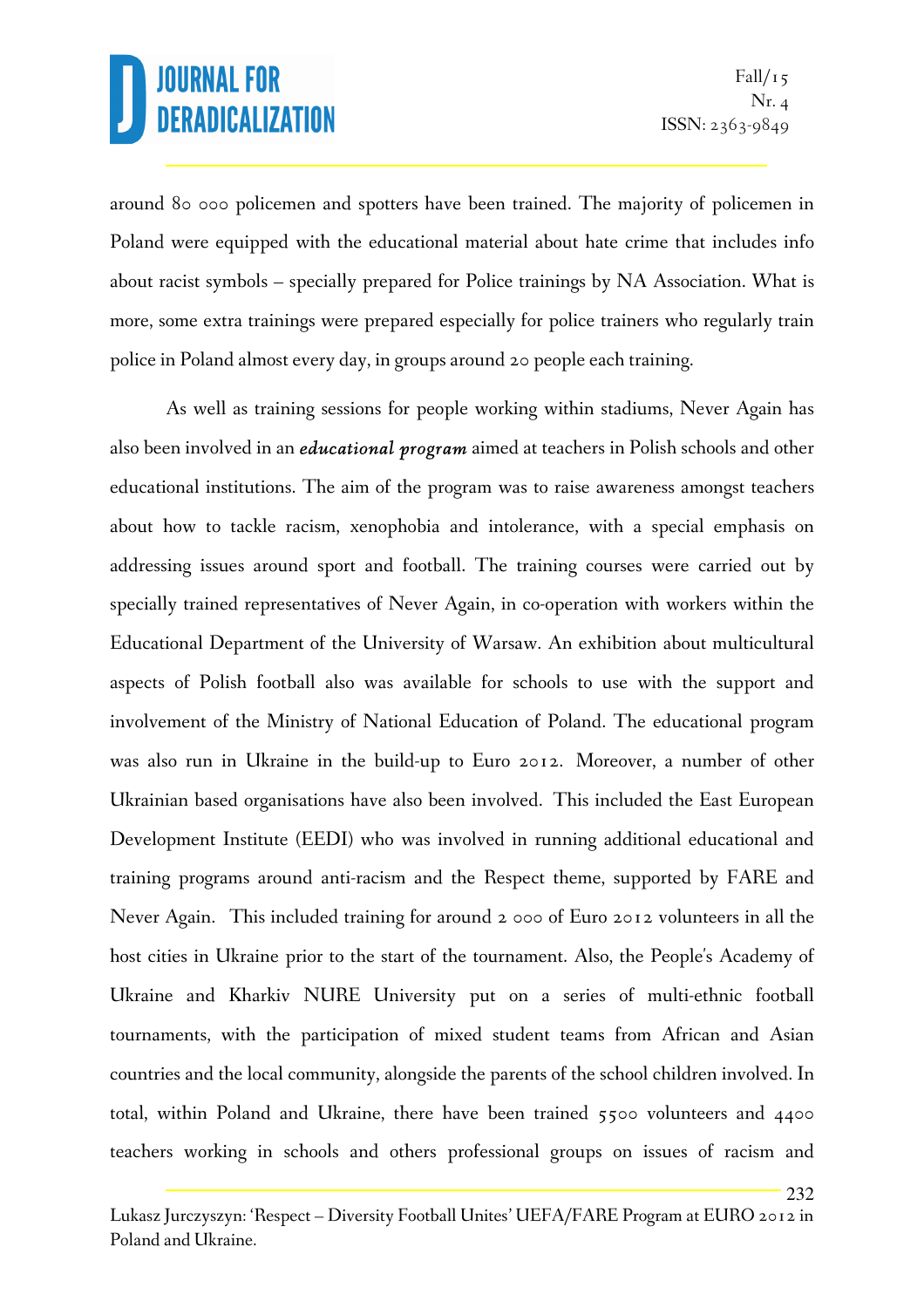232

around 80 000 policemen and spotters have been trained. The majority of policemen in Poland were equipped with the educational material about hate crime that includes info about racist symbols – specially prepared for Police trainings by NA Association. What is more, some extra trainings were prepared especially for police trainers who regularly train police in Poland almost every day, in groups around 20 people each training.

As well as training sessions for people working within stadiums, Never Again has also been involved in an *educational program* aimed at teachers in Polish schools and other educational institutions. The aim of the program was to raise awareness amongst teachers about how to tackle racism, xenophobia and intolerance, with a special emphasis on addressing issues around sport and football. The training courses were carried out by specially trained representatives of Never Again, in co-operation with workers within the Educational Department of the University of Warsaw. An exhibition about multicultural aspects of Polish football also was available for schools to use with the support and involvement of the Ministry of National Education of Poland. The educational program was also run in Ukraine in the build-up to Euro 2012. Moreover, a number of other Ukrainian based organisations have also been involved. This included the East European Development Institute (EEDI) who was involved in running additional educational and training programs around anti-racism and the Respect theme, supported by FARE and Never Again. This included training for around 2 000 of Euro 2012 volunteers in all the host cities in Ukraine prior to the start of the tournament. Also, the People's Academy of Ukraine and Kharkiv NURE University put on a series of multi-ethnic football tournaments, with the participation of mixed student teams from African and Asian countries and the local community, alongside the parents of the school children involved. In total, within Poland and Ukraine, there have been trained 5500 volunteers and 4400 teachers working in schools and others professional groups on issues of racism and

Lukasz Jurczyszyn: 'Respect – Diversity Football Unites' UEFA/FARE Program at EURO 2012 in Poland and Ukraine.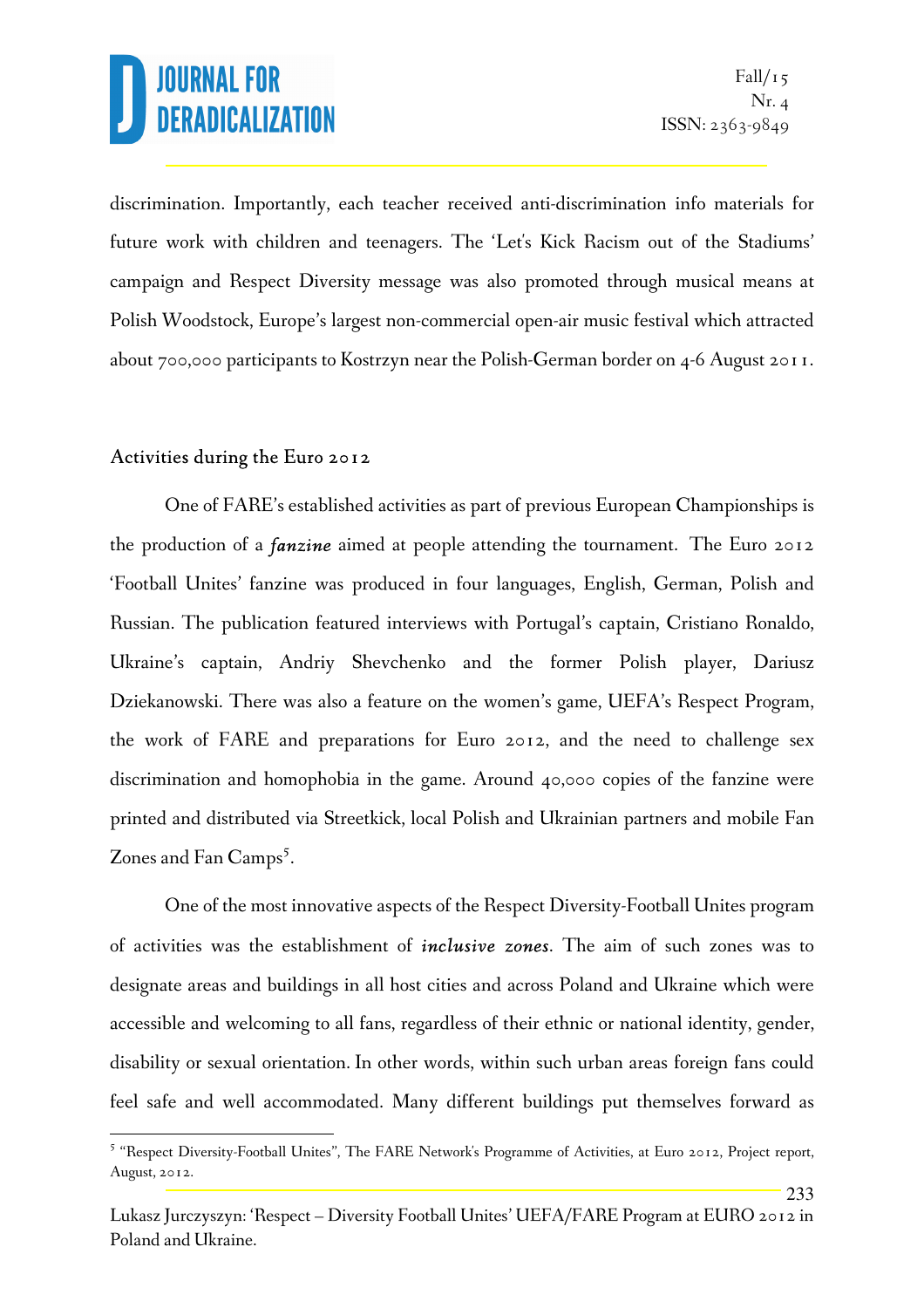233

discrimination. Importantly, each teacher received anti-discrimination info materials for future work with children and teenagers. The 'Let's Kick Racism out of the Stadiums' campaign and Respect Diversity message was also promoted through musical means at Polish Woodstock, Europe's largest non-commercial open-air music festival which attracted about 700,000 participants to Kostrzyn near the Polish-German border on 4-6 August 2011.

#### Activities during the Euro 2012

l.

 One of FARE's established activities as part of previous European Championships is the production of a *fanzine* aimed at people attending the tournament. The Euro 2012 'Football Unites' fanzine was produced in four languages, English, German, Polish and Russian. The publication featured interviews with Portugal's captain, Cristiano Ronaldo, Ukraine's captain, Andriy Shevchenko and the former Polish player, Dariusz Dziekanowski. There was also a feature on the women's game, UEFA's Respect Program, the work of FARE and preparations for Euro 2012, and the need to challenge sex discrimination and homophobia in the game. Around 40,000 copies of the fanzine were printed and distributed via Streetkick, local Polish and Ukrainian partners and mobile Fan Zones and Fan Camps<sup>5</sup>.

 One of the most innovative aspects of the Respect Diversity-Football Unites program of activities was the establishment of *inclusive zones*. The aim of such zones was to designate areas and buildings in all host cities and across Poland and Ukraine which were accessible and welcoming to all fans, regardless of their ethnic or national identity, gender, disability or sexual orientation. In other words, within such urban areas foreign fans could feel safe and well accommodated. Many different buildings put themselves forward as

<sup>&</sup>lt;sup>5</sup> "Respect Diversity-Football Unites", The FARE Network's Programme of Activities, at Euro 2012, Project report, August, 2012.

Lukasz Jurczyszyn: 'Respect – Diversity Football Unites' UEFA/FARE Program at EURO 2012 in Poland and Ukraine.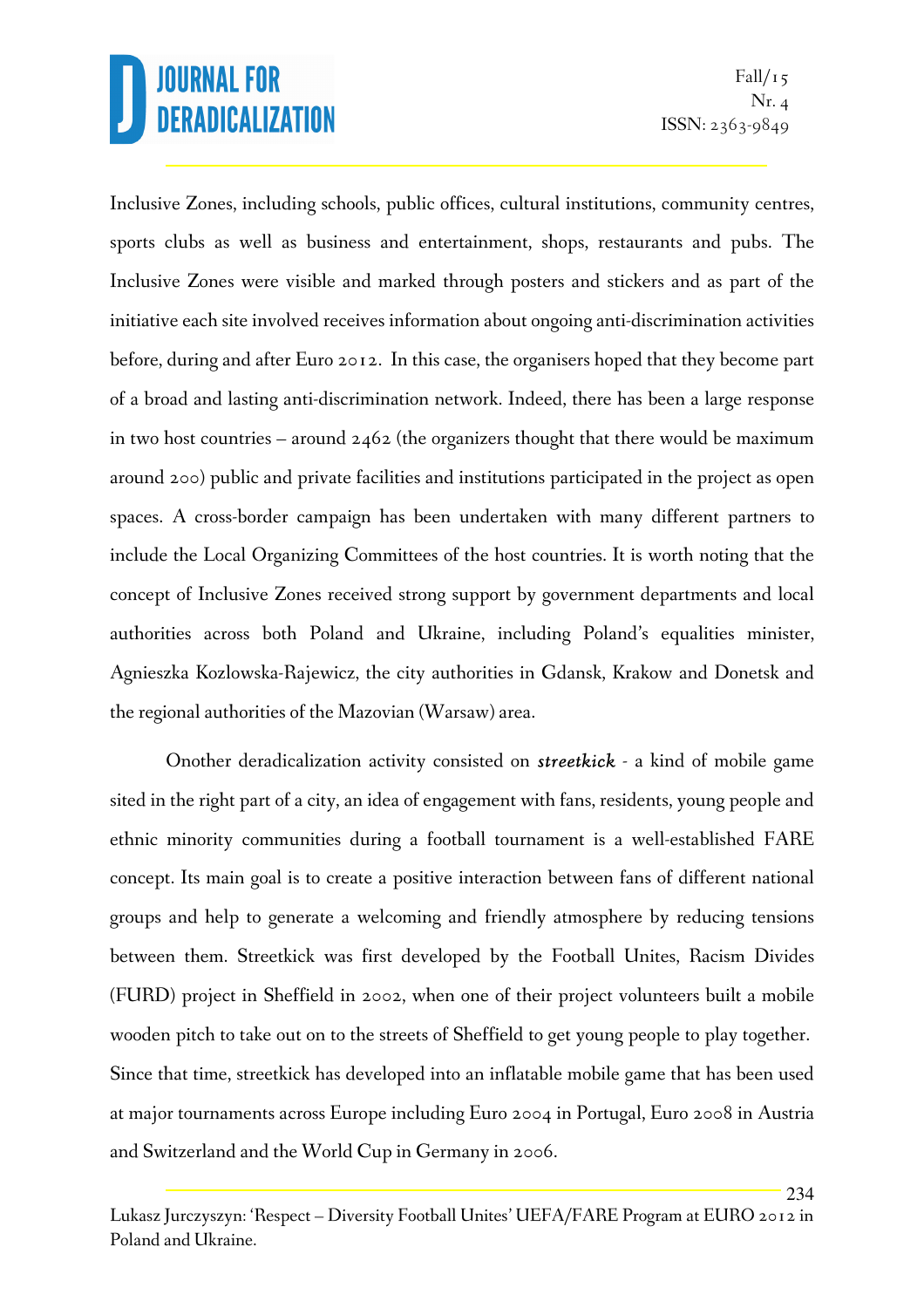234

Inclusive Zones, including schools, public offices, cultural institutions, community centres, sports clubs as well as business and entertainment, shops, restaurants and pubs. The Inclusive Zones were visible and marked through posters and stickers and as part of the initiative each site involved receives information about ongoing anti-discrimination activities before, during and after Euro 2012. In this case, the organisers hoped that they become part of a broad and lasting anti-discrimination network. Indeed, there has been a large response in two host countries – around  $2462$  (the organizers thought that there would be maximum around 200) public and private facilities and institutions participated in the project as open spaces. A cross-border campaign has been undertaken with many different partners to include the Local Organizing Committees of the host countries. It is worth noting that the concept of Inclusive Zones received strong support by government departments and local authorities across both Poland and Ukraine, including Poland's equalities minister, Agnieszka Kozlowska-Rajewicz, the city authorities in Gdansk, Krakow and Donetsk and the regional authorities of the Mazovian (Warsaw) area.

Onother deradicalization activity consisted on *streetkick* - a kind of mobile game sited in the right part of a city, an idea of engagement with fans, residents, young people and ethnic minority communities during a football tournament is a well-established FARE concept. Its main goal is to create a positive interaction between fans of different national groups and help to generate a welcoming and friendly atmosphere by reducing tensions between them. Streetkick was first developed by the Football Unites, Racism Divides (FURD) project in Sheffield in 2002, when one of their project volunteers built a mobile wooden pitch to take out on to the streets of Sheffield to get young people to play together. Since that time, streetkick has developed into an inflatable mobile game that has been used at major tournaments across Europe including Euro 2004 in Portugal, Euro 2008 in Austria and Switzerland and the World Cup in Germany in 2006.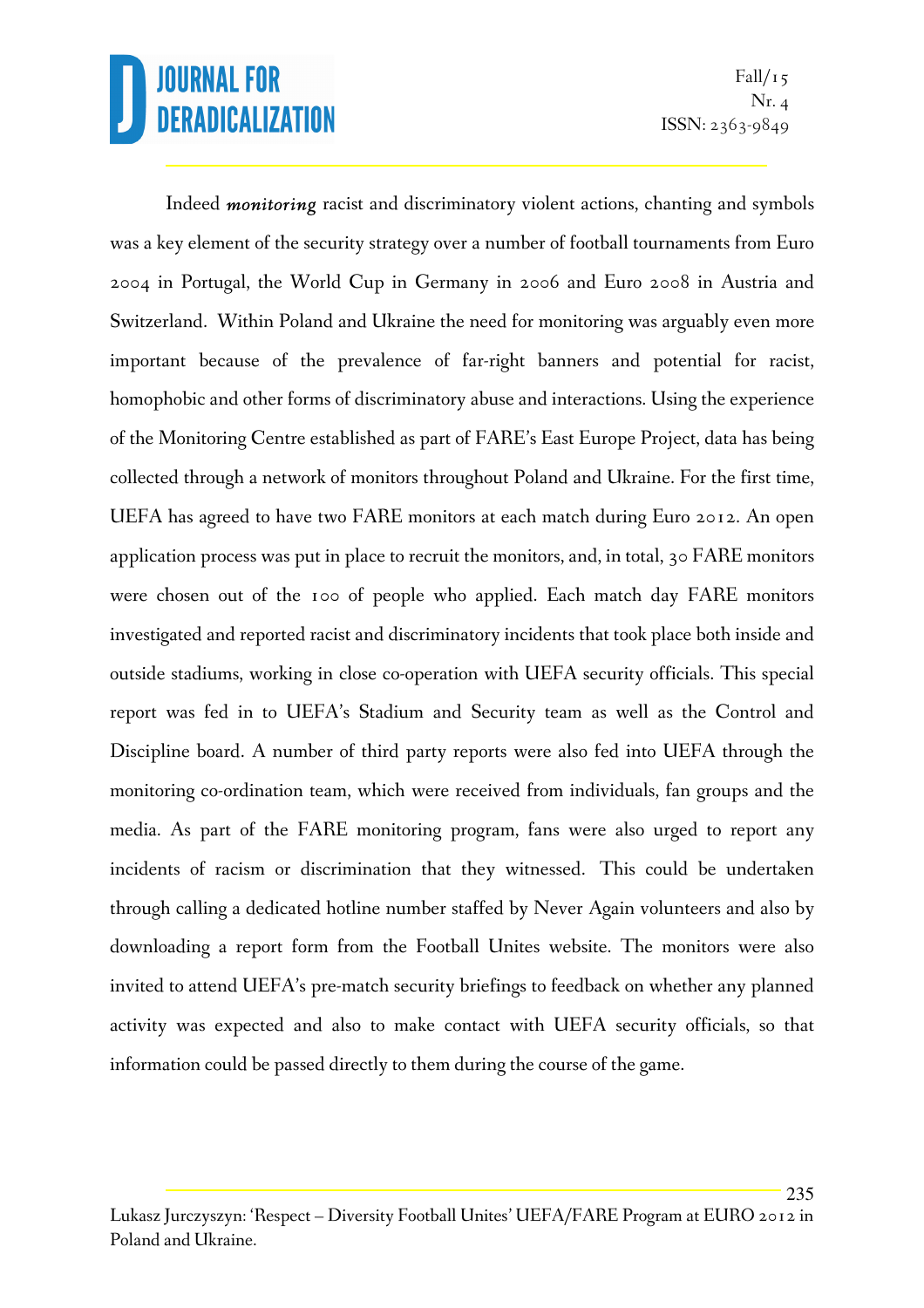235

Indeed *monitoring* racist and discriminatory violent actions, chanting and symbols was a key element of the security strategy over a number of football tournaments from Euro 2004 in Portugal, the World Cup in Germany in 2006 and Euro 2008 in Austria and Switzerland. Within Poland and Ukraine the need for monitoring was arguably even more important because of the prevalence of far-right banners and potential for racist, homophobic and other forms of discriminatory abuse and interactions. Using the experience of the Monitoring Centre established as part of FARE's East Europe Project, data has being collected through a network of monitors throughout Poland and Ukraine. For the first time, UEFA has agreed to have two FARE monitors at each match during Euro 2012. An open application process was put in place to recruit the monitors, and, in total, 30 FARE monitors were chosen out of the 100 of people who applied. Each match day FARE monitors investigated and reported racist and discriminatory incidents that took place both inside and outside stadiums, working in close co-operation with UEFA security officials. This special report was fed in to UEFA's Stadium and Security team as well as the Control and Discipline board. A number of third party reports were also fed into UEFA through the monitoring co-ordination team, which were received from individuals, fan groups and the media. As part of the FARE monitoring program, fans were also urged to report any incidents of racism or discrimination that they witnessed. This could be undertaken through calling a dedicated hotline number staffed by Never Again volunteers and also by downloading a report form from the Football Unites website. The monitors were also invited to attend UEFA's pre-match security briefings to feedback on whether any planned activity was expected and also to make contact with UEFA security officials, so that information could be passed directly to them during the course of the game.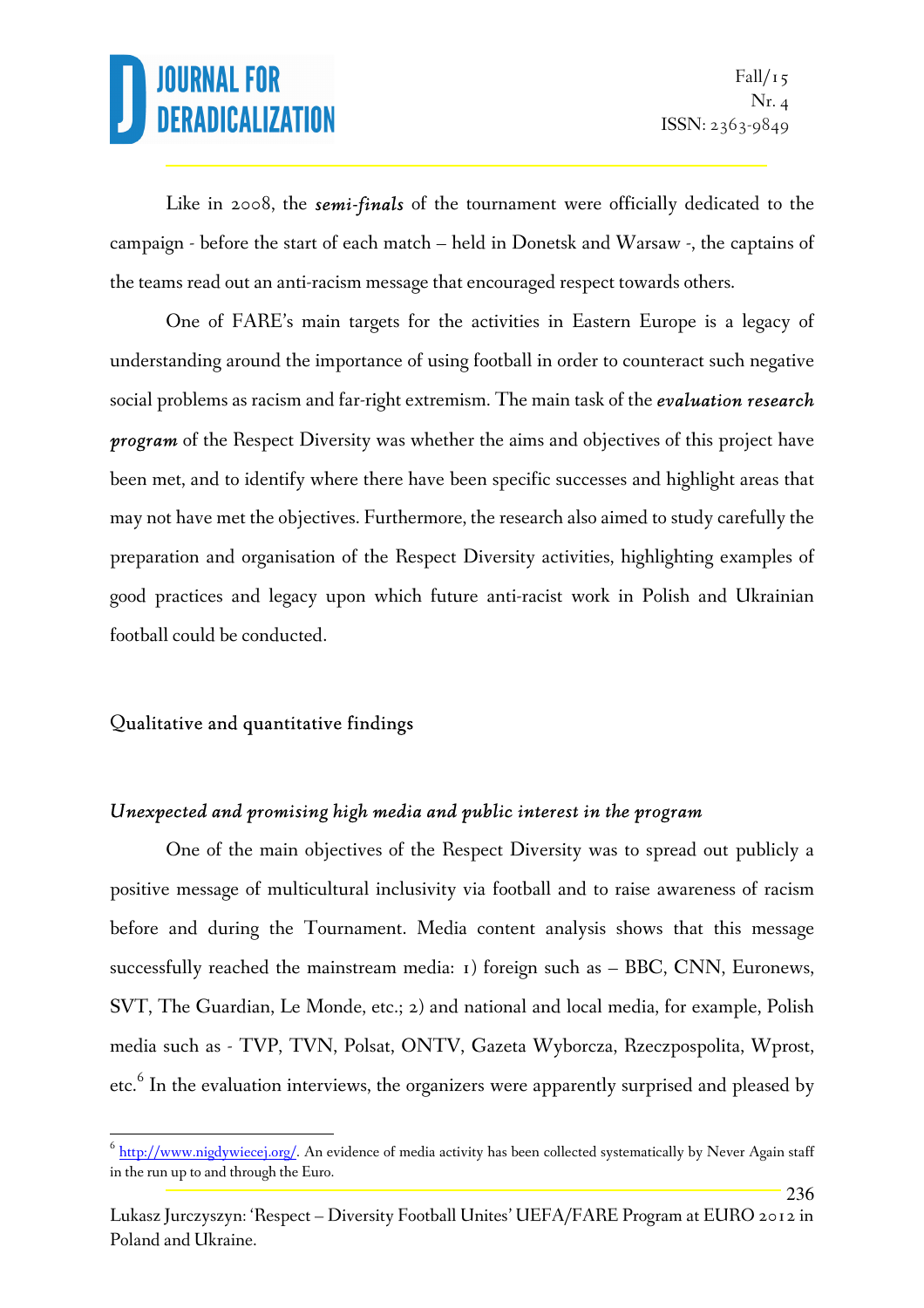236

Like in 2008, the *semi-finals* of the tournament were officially dedicated to the campaign - before the start of each match – held in Donetsk and Warsaw -, the captains of the teams read out an anti-racism message that encouraged respect towards others.

One of FARE's main targets for the activities in Eastern Europe is a legacy of understanding around the importance of using football in order to counteract such negative social problems as racism and far-right extremism. The main task of the *evaluation research program* of the Respect Diversity was whether the aims and objectives of this project have been met, and to identify where there have been specific successes and highlight areas that may not have met the objectives. Furthermore, the research also aimed to study carefully the preparation and organisation of the Respect Diversity activities, highlighting examples of good practices and legacy upon which future anti-racist work in Polish and Ukrainian football could be conducted.

#### Qualitative and quantitative findings

l.

#### *Unexpected and promising high media and public interest in the program*

One of the main objectives of the Respect Diversity was to spread out publicly a positive message of multicultural inclusivity via football and to raise awareness of racism before and during the Tournament. Media content analysis shows that this message successfully reached the mainstream media: 1) foreign such as – BBC, CNN, Euronews, SVT, The Guardian, Le Monde, etc.; 2) and national and local media, for example, Polish media such as - TVP, TVN, Polsat, ONTV, Gazeta Wyborcza, Rzeczpospolita, Wprost, etc.<sup>6</sup> In the evaluation interviews, the organizers were apparently surprised and pleased by

 $^6$   $\underline{\text{http://www.nigdywiecej.org/}}$ . An evidence of media activity has been collected systematically by Never Again staff in the run up to and through the Euro.

Lukasz Jurczyszyn: 'Respect – Diversity Football Unites' UEFA/FARE Program at EURO 2012 in Poland and Ukraine.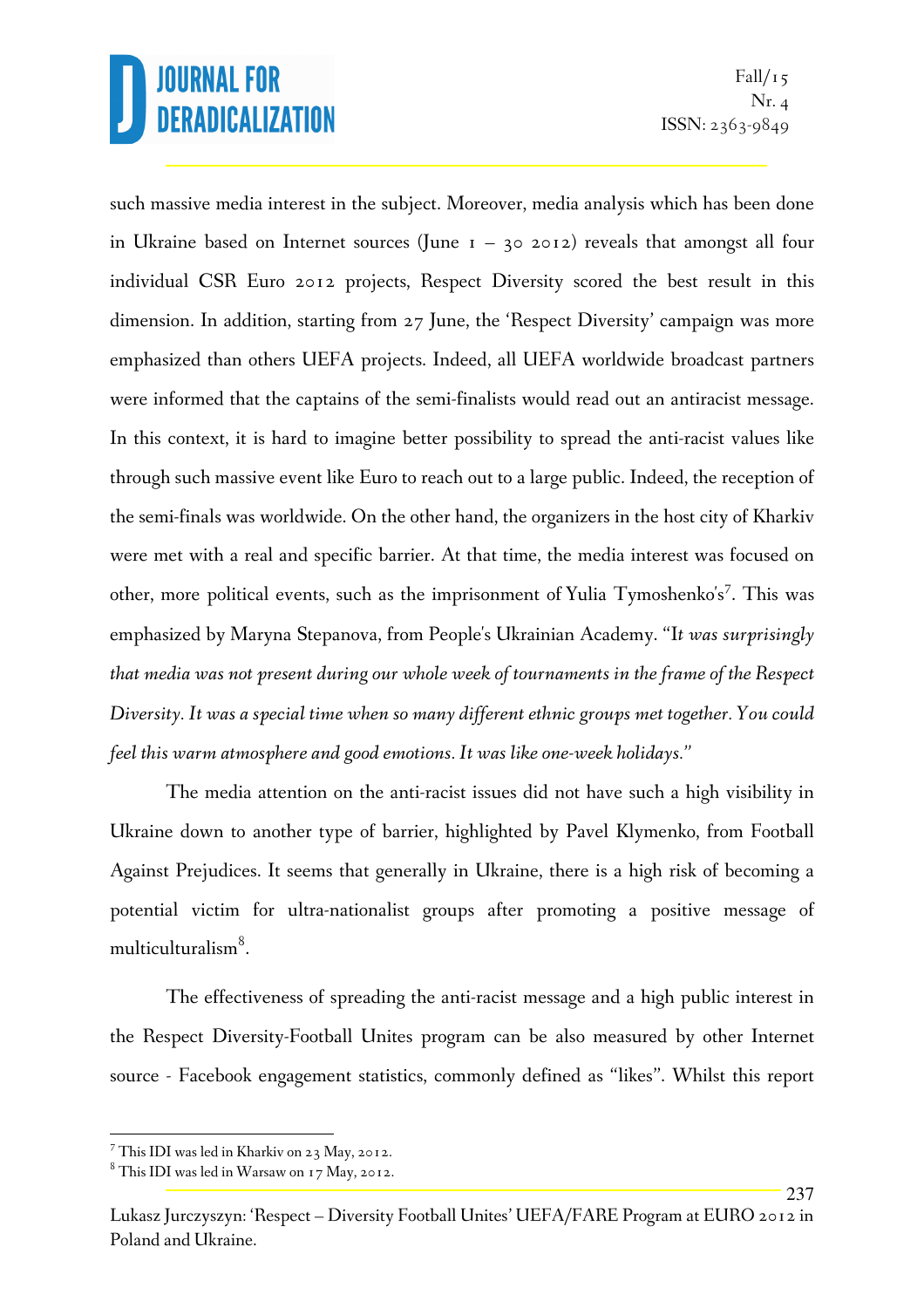237

such massive media interest in the subject. Moreover, media analysis which has been done in Ukraine based on Internet sources (June  $I - 302012$ ) reveals that amongst all four individual CSR Euro 2012 projects, Respect Diversity scored the best result in this dimension. In addition, starting from 27 June, the 'Respect Diversity' campaign was more emphasized than others UEFA projects. Indeed, all UEFA worldwide broadcast partners were informed that the captains of the semi-finalists would read out an antiracist message. In this context, it is hard to imagine better possibility to spread the anti-racist values like through such massive event like Euro to reach out to a large public. Indeed, the reception of the semi-finals was worldwide. On the other hand, the organizers in the host city of Kharkiv were met with a real and specific barrier. At that time, the media interest was focused on other, more political events, such as the imprisonment of Yulia Tymoshenko's<sup>7</sup>. This was emphasized by Maryna Stepanova, from People's Ukrainian Academy. "I*t was surprisingly that media was not present during our whole week of tournaments in the frame of the Respect Diversity. It was a special time when so many different ethnic groups met together. You could feel this warm atmosphere and good emotions. It was like one-week holidays."*

The media attention on the anti-racist issues did not have such a high visibility in Ukraine down to another type of barrier, highlighted by Pavel Klymenko, from Football Against Prejudices. It seems that generally in Ukraine, there is a high risk of becoming a potential victim for ultra-nationalist groups after promoting a positive message of multiculturalism<sup>8</sup>.

The effectiveness of spreading the anti-racist message and a high public interest in the Respect Diversity-Football Unites program can be also measured by other Internet source - Facebook engagement statistics, commonly defined as "likes". Whilst this report

 $^7$  This IDI was led in Kharkiv on 23 May, 2012.

 $^8$  This IDI was led in Warsaw on 17 May, 2012.

Lukasz Jurczyszyn: 'Respect – Diversity Football Unites' UEFA/FARE Program at EURO 2012 in Poland and Ukraine.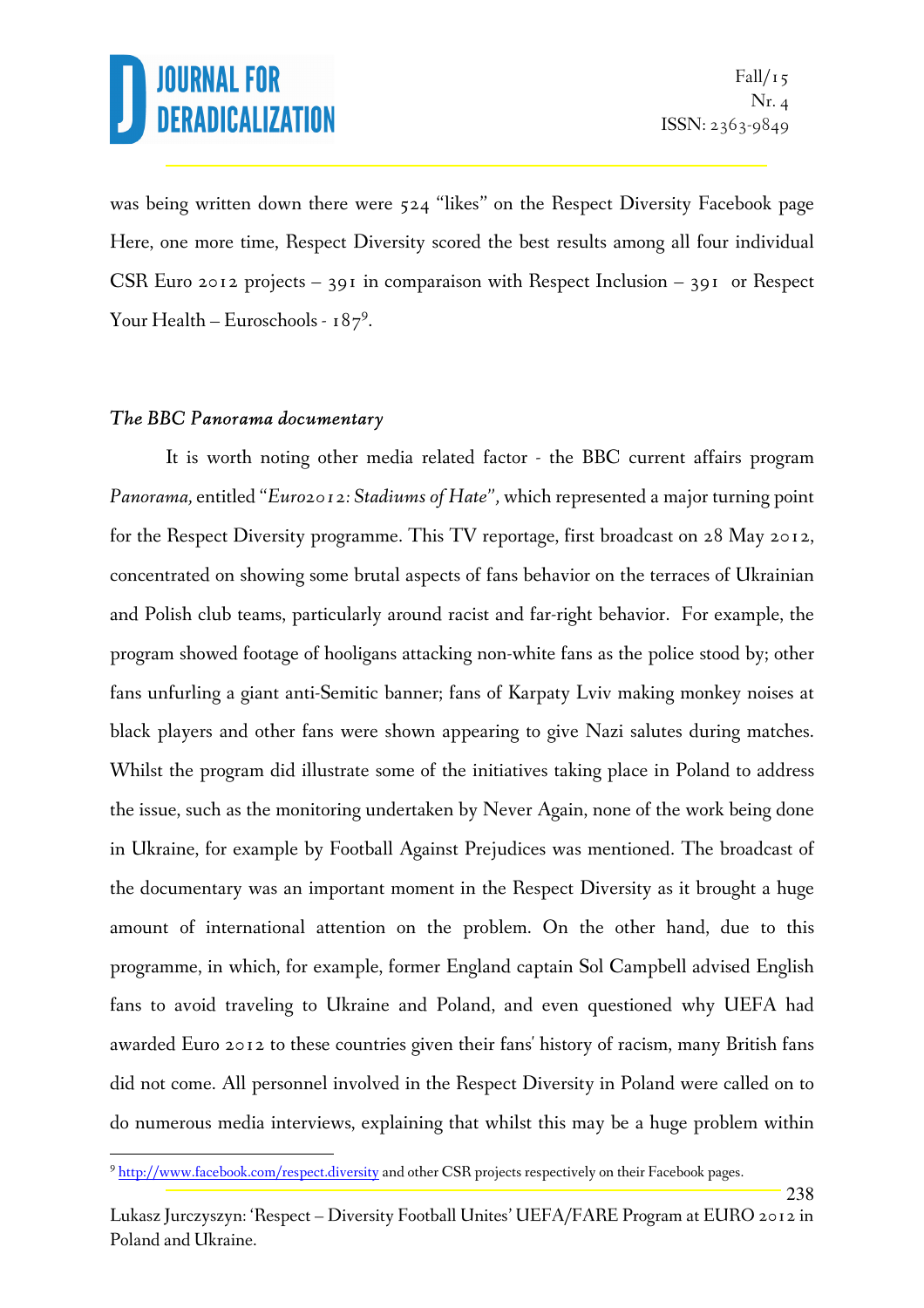238

was being written down there were 524 "likes" on the Respect Diversity Facebook page Here, one more time, Respect Diversity scored the best results among all four individual CSR Euro 2012 projects – 391 in comparaison with Respect Inclusion – 391 or Respect Your Health – Euroschools -  $187^9$ .

#### *The BBC Panorama documentary*

l.

It is worth noting other media related factor - the BBC current affairs program *Panorama,* entitled "*Euro2012: Stadiums of Hate",* which represented a major turning point for the Respect Diversity programme. This TV reportage, first broadcast on 28 May 2012, concentrated on showing some brutal aspects of fans behavior on the terraces of Ukrainian and Polish club teams, particularly around racist and far-right behavior. For example, the program showed footage of hooligans attacking non-white fans as the police stood by; other fans unfurling a giant anti-Semitic banner; fans of Karpaty Lviv making monkey noises at black players and other fans were shown appearing to give Nazi salutes during matches. Whilst the program did illustrate some of the initiatives taking place in Poland to address the issue, such as the monitoring undertaken by Never Again, none of the work being done in Ukraine, for example by Football Against Prejudices was mentioned. The broadcast of the documentary was an important moment in the Respect Diversity as it brought a huge amount of international attention on the problem. On the other hand, due to this programme, in which, for example, former England captain Sol Campbell advised English fans to avoid traveling to Ukraine and Poland, and even questioned why UEFA had awarded Euro 2012 to these countries given their fans' history of racism, many British fans did not come. All personnel involved in the Respect Diversity in Poland were called on to do numerous media interviews, explaining that whilst this may be a huge problem within

<sup>&</sup>lt;sup>9</sup> http://www.facebook.com/respect.diversity and other CSR projects respectively on their Facebook pages.

Lukasz Jurczyszyn: 'Respect – Diversity Football Unites' UEFA/FARE Program at EURO 2012 in Poland and Ukraine.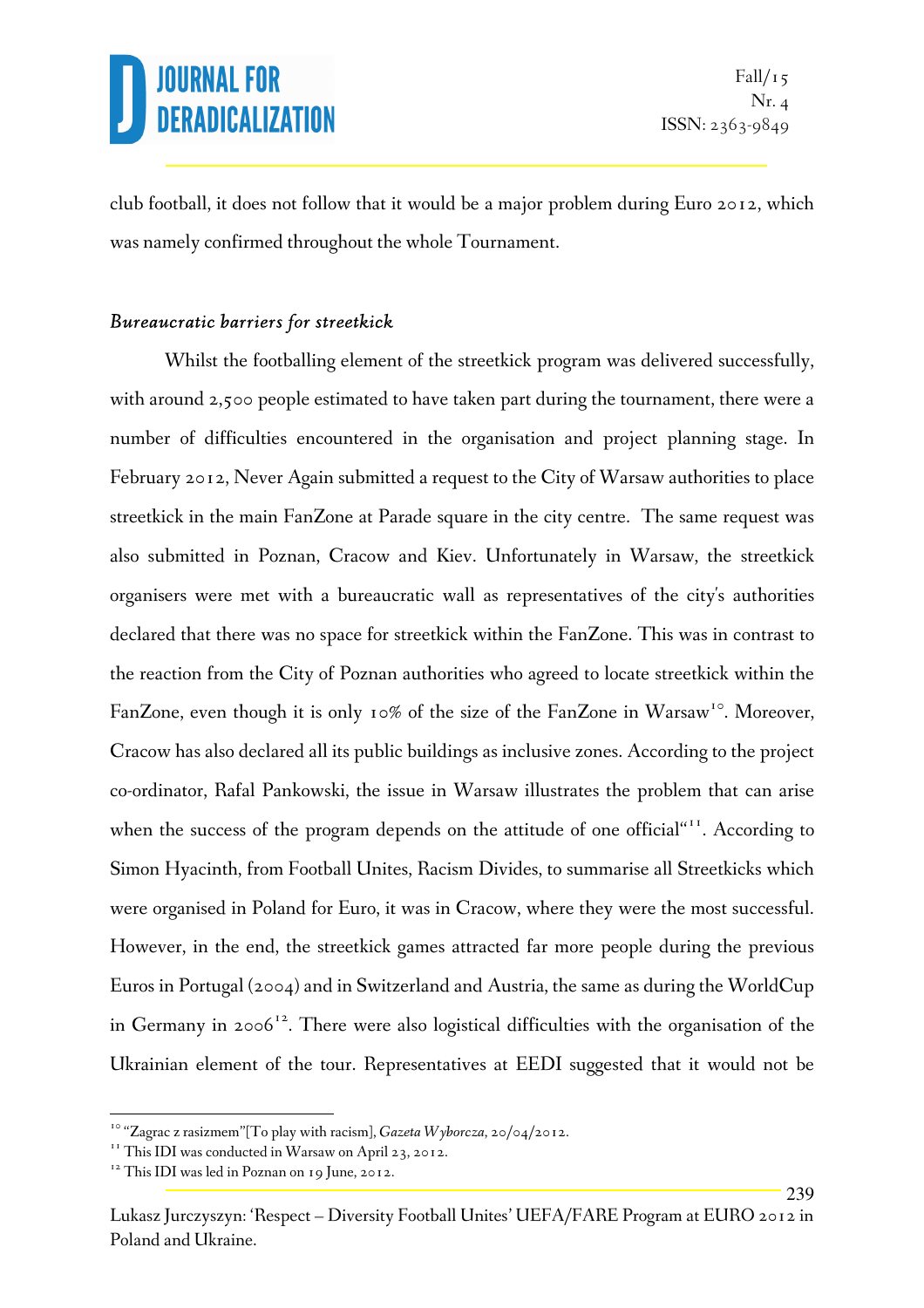239

club football, it does not follow that it would be a major problem during Euro 2012, which was namely confirmed throughout the whole Tournament.

#### *Bureaucratic barriers for streetkick*

 Whilst the footballing element of the streetkick program was delivered successfully, with around 2,500 people estimated to have taken part during the tournament, there were a number of difficulties encountered in the organisation and project planning stage. In February 2012, Never Again submitted a request to the City of Warsaw authorities to place streetkick in the main FanZone at Parade square in the city centre. The same request was also submitted in Poznan, Cracow and Kiev. Unfortunately in Warsaw, the streetkick organisers were met with a bureaucratic wall as representatives of the city's authorities declared that there was no space for streetkick within the FanZone. This was in contrast to the reaction from the City of Poznan authorities who agreed to locate streetkick within the FanZone, even though it is only 10% of the size of the FanZone in Warsaw<sup>10</sup>. Moreover, Cracow has also declared all its public buildings as inclusive zones. According to the project co-ordinator, Rafal Pankowski, the issue in Warsaw illustrates the problem that can arise when the success of the program depends on the attitude of one official"<sup>11</sup>. According to Simon Hyacinth, from Football Unites, Racism Divides, to summarise all Streetkicks which were organised in Poland for Euro, it was in Cracow, where they were the most successful. However, in the end, the streetkick games attracted far more people during the previous Euros in Portugal (2004) and in Switzerland and Austria, the same as during the WorldCup in Germany in 2006<sup>12</sup>. There were also logistical difficulties with the organisation of the Ukrainian element of the tour. Representatives at EEDI suggested that it would not be

<sup>&</sup>lt;sup>10</sup> "Zagrac z rasizmem"[To play with racism], *Gazeta Wyborcza*, 20/04/2012.

<sup>&</sup>lt;sup>11</sup> This IDI was conducted in Warsaw on April 23, 2012.

<sup>&</sup>lt;sup>12</sup> This IDI was led in Poznan on 19 June, 2012.

Lukasz Jurczyszyn: 'Respect – Diversity Football Unites' UEFA/FARE Program at EURO 2012 in Poland and Ukraine.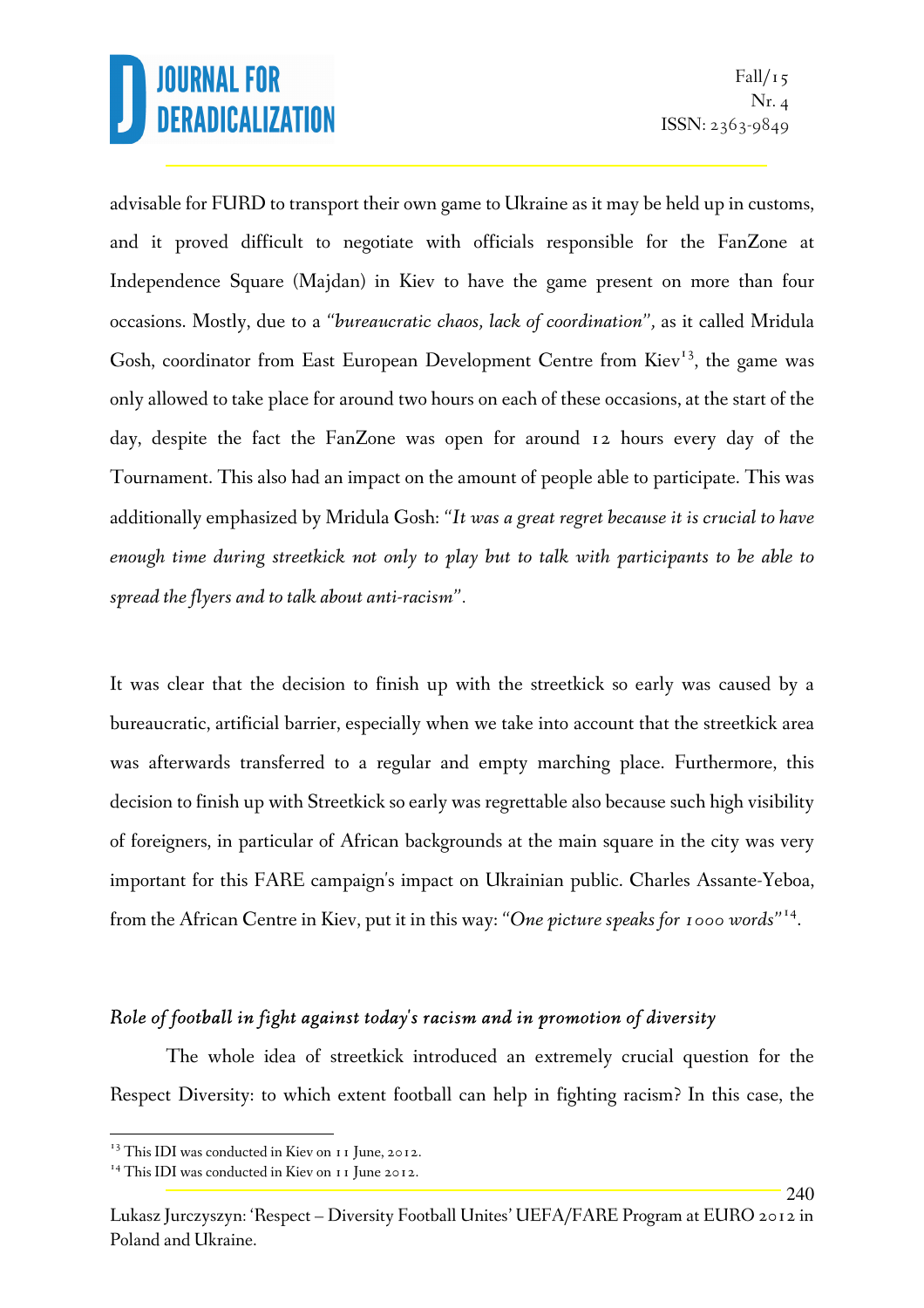advisable for FURD to transport their own game to Ukraine as it may be held up in customs, and it proved difficult to negotiate with officials responsible for the FanZone at Independence Square (Majdan) in Kiev to have the game present on more than four occasions. Mostly, due to a *"bureaucratic chaos, lack of coordination",* as it called Mridula Gosh, coordinator from East European Development Centre from Kiev<sup>13</sup>, the game was only allowed to take place for around two hours on each of these occasions, at the start of the day, despite the fact the FanZone was open for around 12 hours every day of the Tournament. This also had an impact on the amount of people able to participate. This was additionally emphasized by Mridula Gosh: *"It was a great regret because it is crucial to have enough time during streetkick not only to play but to talk with participants to be able to spread the flyers and to talk about anti-racism".* 

It was clear that the decision to finish up with the streetkick so early was caused by a bureaucratic, artificial barrier, especially when we take into account that the streetkick area was afterwards transferred to a regular and empty marching place. Furthermore, this decision to finish up with Streetkick so early was regrettable also because such high visibility of foreigners, in particular of African backgrounds at the main square in the city was very important for this FARE campaign's impact on Ukrainian public. Charles Assante-Yeboa, from the African Centre in Kiev, put it in this way: *"One picture speaks for 1000 words"*<sup>14</sup> .

#### *Role of football in fight against today's racism and in promotion of diversity*

The whole idea of streetkick introduced an extremely crucial question for the Respect Diversity: to which extent football can help in fighting racism? In this case, the

<sup>&</sup>lt;sup>13</sup> This IDI was conducted in Kiev on 11 June, 2012.

<sup>&</sup>lt;sup>14</sup> This IDI was conducted in Kiev on 11 June 2012.

Lukasz Jurczyszyn: 'Respect – Diversity Football Unites' UEFA/FARE Program at EURO 2012 in Poland and Ukraine.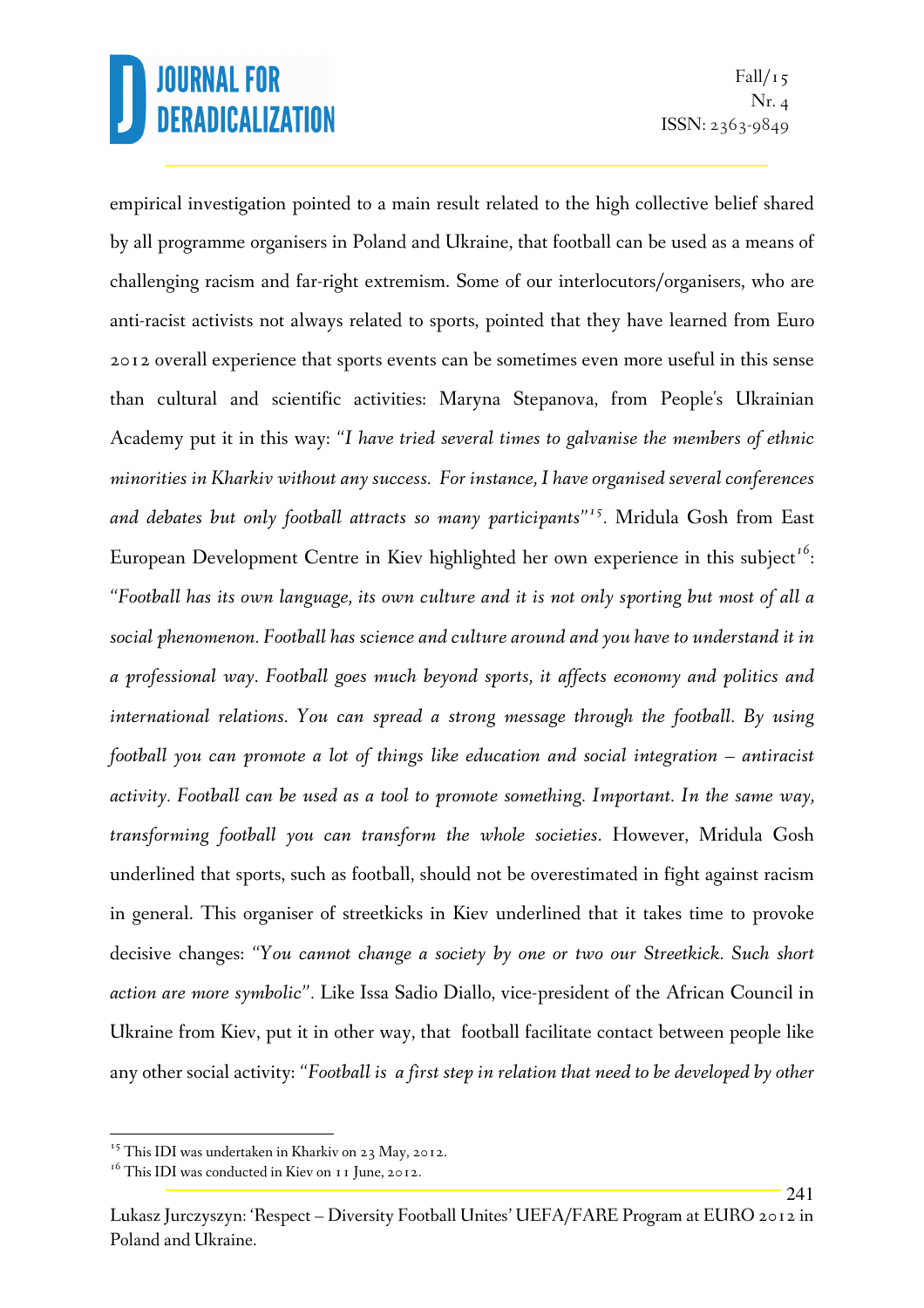241

empirical investigation pointed to a main result related to the high collective belief shared by all programme organisers in Poland and Ukraine, that football can be used as a means of challenging racism and far-right extremism. Some of our interlocutors/organisers, who are anti-racist activists not always related to sports, pointed that they have learned from Euro 2012 overall experience that sports events can be sometimes even more useful in this sense than cultural and scientific activities: Maryna Stepanova, from People's Ukrainian Academy put it in this way: *"I have tried several times to galvanise the members of ethnic minorities in Kharkiv without any success. For instance, I have organised several conferences and debates but only football attracts so many participants"<sup>15</sup> .* Mridula Gosh from East European Development Centre in Kiev highlighted her own experience in this subject*<sup>16</sup>* : *"Football has its own language, its own culture and it is not only sporting but most of all a social phenomenon. Football has science and culture around and you have to understand it in a professional way. Football goes much beyond sports, it affects economy and politics and international relations. You can spread a strong message through the football. By using football you can promote a lot of things like education and social integration – antiracist activity. Football can be used as a tool to promote something. Important. In the same way, transforming football you can transform the whole societies*. However, Mridula Gosh underlined that sports, such as football, should not be overestimated in fight against racism in general. This organiser of streetkicks in Kiev underlined that it takes time to provoke decisive changes: *"You cannot change a society by one or two our Streetkick. Such short action are more symbolic".* Like Issa Sadio Diallo, vice-president of the African Council in Ukraine from Kiev, put it in other way, that football facilitate contact between people like any other social activity: *"Football is a first step in relation that need to be developed by other* 

<sup>&</sup>lt;sup>15</sup> This IDI was undertaken in Kharkiv on 23 May, 2012.

<sup>&</sup>lt;sup>16</sup> This IDI was conducted in Kiev on 11 June, 2012.

Lukasz Jurczyszyn: 'Respect – Diversity Football Unites' UEFA/FARE Program at EURO 2012 in Poland and Ukraine.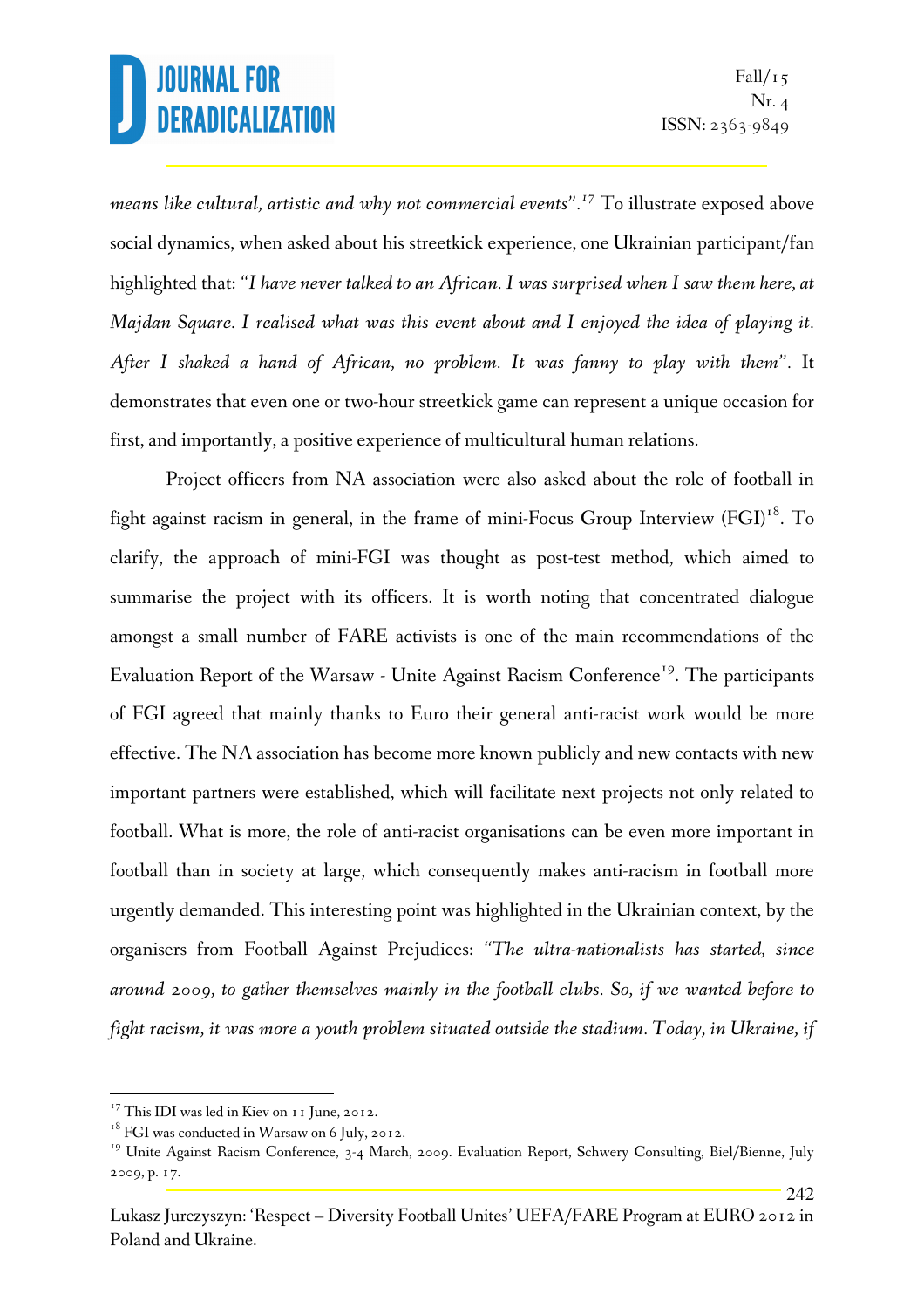242

*means like cultural, artistic and why not commercial events".<sup>17</sup>* To illustrate exposed above social dynamics, when asked about his streetkick experience, one Ukrainian participant/fan highlighted that: *"I have never talked to an African. I was surprised when I saw them here, at Majdan Square. I realised what was this event about and I enjoyed the idea of playing it. After I shaked a hand of African, no problem. It was fanny to play with them".* It demonstrates that even one or two-hour streetkick game can represent a unique occasion for first, and importantly, a positive experience of multicultural human relations.

Project officers from NA association were also asked about the role of football in fight against racism in general, in the frame of mini-Focus Group Interview  $(FGI)^{18}$ . To clarify, the approach of mini-FGI was thought as post-test method, which aimed to summarise the project with its officers. It is worth noting that concentrated dialogue amongst a small number of FARE activists is one of the main recommendations of the Evaluation Report of the Warsaw - Unite Against Racism Conference<sup>19</sup>. The participants of FGI agreed that mainly thanks to Euro their general anti-racist work would be more effective. The NA association has become more known publicly and new contacts with new important partners were established, which will facilitate next projects not only related to football. What is more, the role of anti-racist organisations can be even more important in football than in society at large, which consequently makes anti-racism in football more urgently demanded. This interesting point was highlighted in the Ukrainian context, by the organisers from Football Against Prejudices: *"The ultra-nationalists has started, since around 2009, to gather themselves mainly in the football clubs. So, if we wanted before to fight racism, it was more a youth problem situated outside the stadium. Today, in Ukraine, if* 

<sup>&</sup>lt;sup>17</sup> This IDI was led in Kiev on 11 June, 2012.

<sup>&</sup>lt;sup>18</sup> FGI was conducted in Warsaw on 6 July, 2012.

<sup>&</sup>lt;sup>19</sup> Unite Against Racism Conference, 3-4 March, 2009. Evaluation Report, Schwery Consulting, Biel/Bienne, July 2009, p. 17.

Lukasz Jurczyszyn: 'Respect – Diversity Football Unites' UEFA/FARE Program at EURO 2012 in Poland and Ukraine.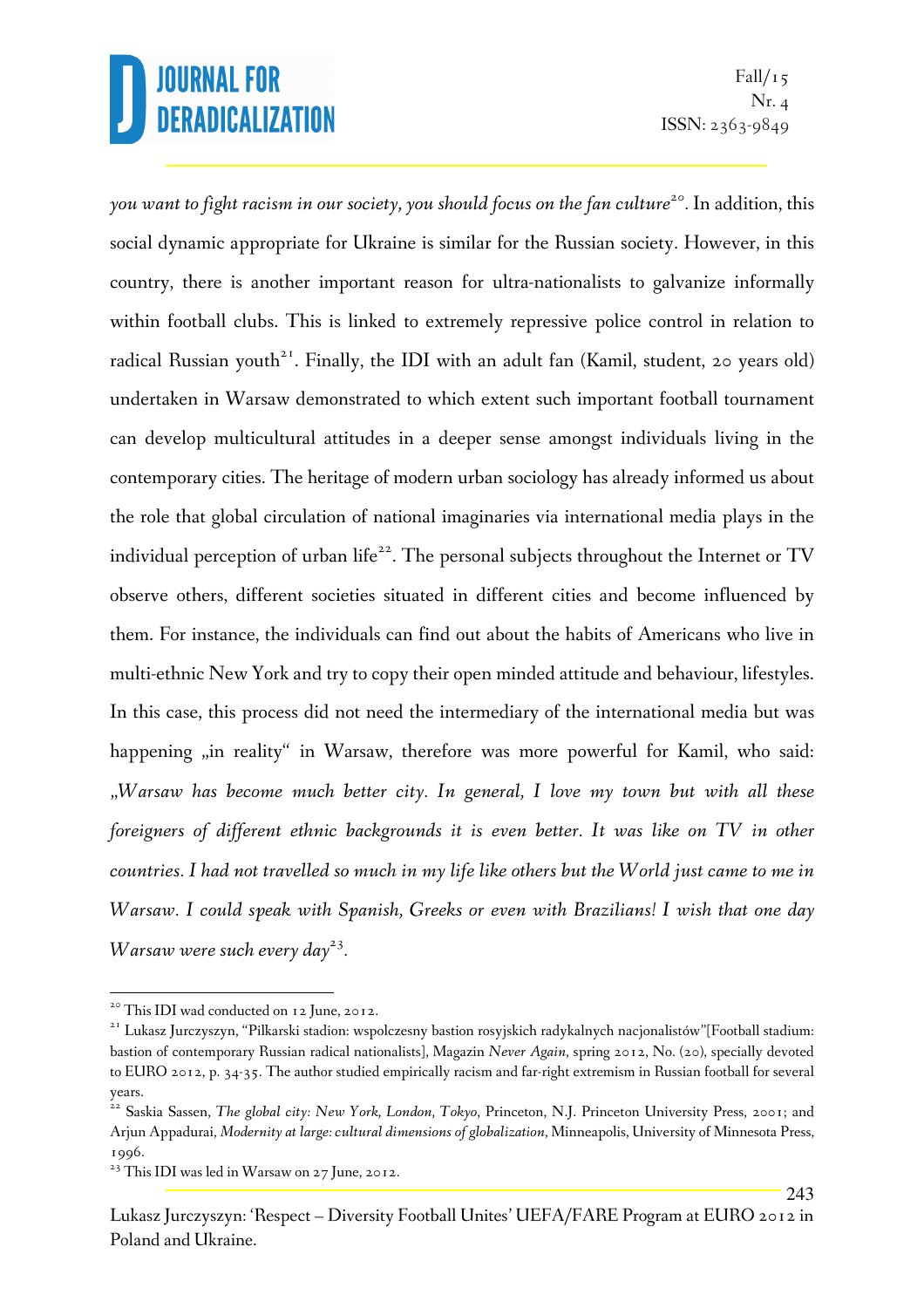243

*you want to fight racism in our society, you should focus on the fan culture<sup>20</sup> .* In addition, this social dynamic appropriate for Ukraine is similar for the Russian society. However, in this country, there is another important reason for ultra-nationalists to galvanize informally within football clubs. This is linked to extremely repressive police control in relation to radical Russian youth<sup>21</sup>. Finally, the IDI with an adult fan (Kamil, student, 20 years old) undertaken in Warsaw demonstrated to which extent such important football tournament can develop multicultural attitudes in a deeper sense amongst individuals living in the contemporary cities. The heritage of modern urban sociology has already informed us about the role that global circulation of national imaginaries via international media plays in the individual perception of urban life<sup>22</sup>. The personal subjects throughout the Internet or TV observe others, different societies situated in different cities and become influenced by them. For instance, the individuals can find out about the habits of Americans who live in multi-ethnic New York and try to copy their open minded attitude and behaviour, lifestyles. In this case, this process did not need the intermediary of the international media but was happening "in reality" in Warsaw, therefore was more powerful for Kamil, who said: "*Warsaw has become much better city. In general, I love my town but with all these foreigners of different ethnic backgrounds it is even better. It was like on TV in other countries. I had not travelled so much in my life like others but the World just came to me in Warsaw. I could speak with Spanish, Greeks or even with Brazilians! I wish that one day Warsaw were such every day<sup>23</sup> .* 

 $\overline{a}$ 

<sup>&</sup>lt;sup>20</sup> This IDI wad conducted on 12 June, 2012.

<sup>&</sup>lt;sup>21</sup> Lukasz Jurczyszyn, "Pilkarski stadion: wspolczesny bastion rosyjskich radykalnych nacjonalistów"[Football stadium: bastion of contemporary Russian radical nationalists], Magazin *Never Again*, spring 2012, No. (20), specially devoted to EURO 2012, p. 34-35. The author studied empirically racism and far-right extremism in Russian football for several years.

<sup>&</sup>lt;sup>22</sup> Saskia Sassen, *The global city: New York, London, Tokyo*, Princeton, N.J. Princeton University Press, 2001; and Arjun Appadurai, *Modernity at large: cultural dimensions of globalization*, Minneapolis, University of Minnesota Press, 1996.

<sup>&</sup>lt;sup>23</sup> This IDI was led in Warsaw on 27 June, 2012.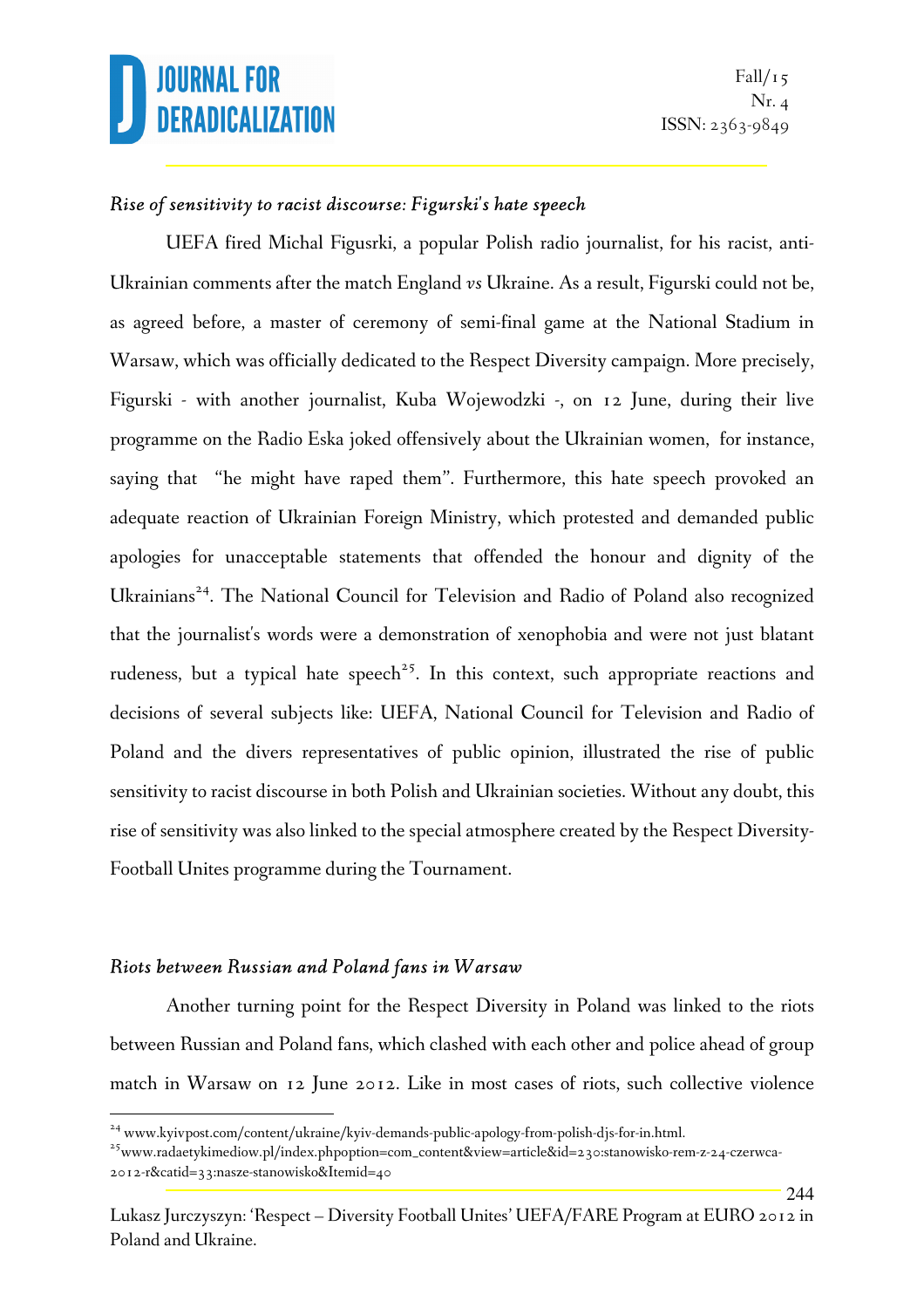244

#### *Rise of sensitivity to racist discourse: Figurski's hate speech*

UEFA fired Michal Figusrki, a popular Polish radio journalist, for his racist, anti-Ukrainian comments after the match England *vs* Ukraine. As a result, Figurski could not be, as agreed before, a master of ceremony of semi-final game at the National Stadium in Warsaw, which was officially dedicated to the Respect Diversity campaign. More precisely, Figurski - with another journalist, Kuba Wojewodzki -, on 12 June, during their live programme on the Radio Eska joked offensively about the Ukrainian women, for instance, saying that "he might have raped them". Furthermore, this hate speech provoked an adequate reaction of Ukrainian Foreign Ministry, which protested and demanded public apologies for unacceptable statements that offended the honour and dignity of the Ukrainians<sup>24</sup>. The National Council for Television and Radio of Poland also recognized that the journalist's words were a demonstration of xenophobia and were not just blatant rudeness, but a typical hate speech<sup>25</sup>. In this context, such appropriate reactions and decisions of several subjects like: UEFA, National Council for Television and Radio of Poland and the divers representatives of public opinion, illustrated the rise of public sensitivity to racist discourse in both Polish and Ukrainian societies. Without any doubt, this rise of sensitivity was also linked to the special atmosphere created by the Respect Diversity-Football Unites programme during the Tournament.

#### *Riots between Russian and Poland fans in Warsaw*

l.

Another turning point for the Respect Diversity in Poland was linked to the riots between Russian and Poland fans, which clashed with each other and police ahead of group match in Warsaw on 12 June 2012. Like in most cases of riots, such collective violence

<sup>&</sup>lt;sup>24</sup> www.kyivpost.com/content/ukraine/kyiv-demands-public-apology-from-polish-djs-for-in.html.

<sup>&</sup>lt;sup>25</sup>www.radaetykimediow.pl/index.phpoption=com\_content&view=article&id=230:stanowisko-rem-z-24-czerwca-2012-r&catid=33:nasze-stanowisko&Itemid=40

Lukasz Jurczyszyn: 'Respect – Diversity Football Unites' UEFA/FARE Program at EURO 2012 in Poland and Ukraine.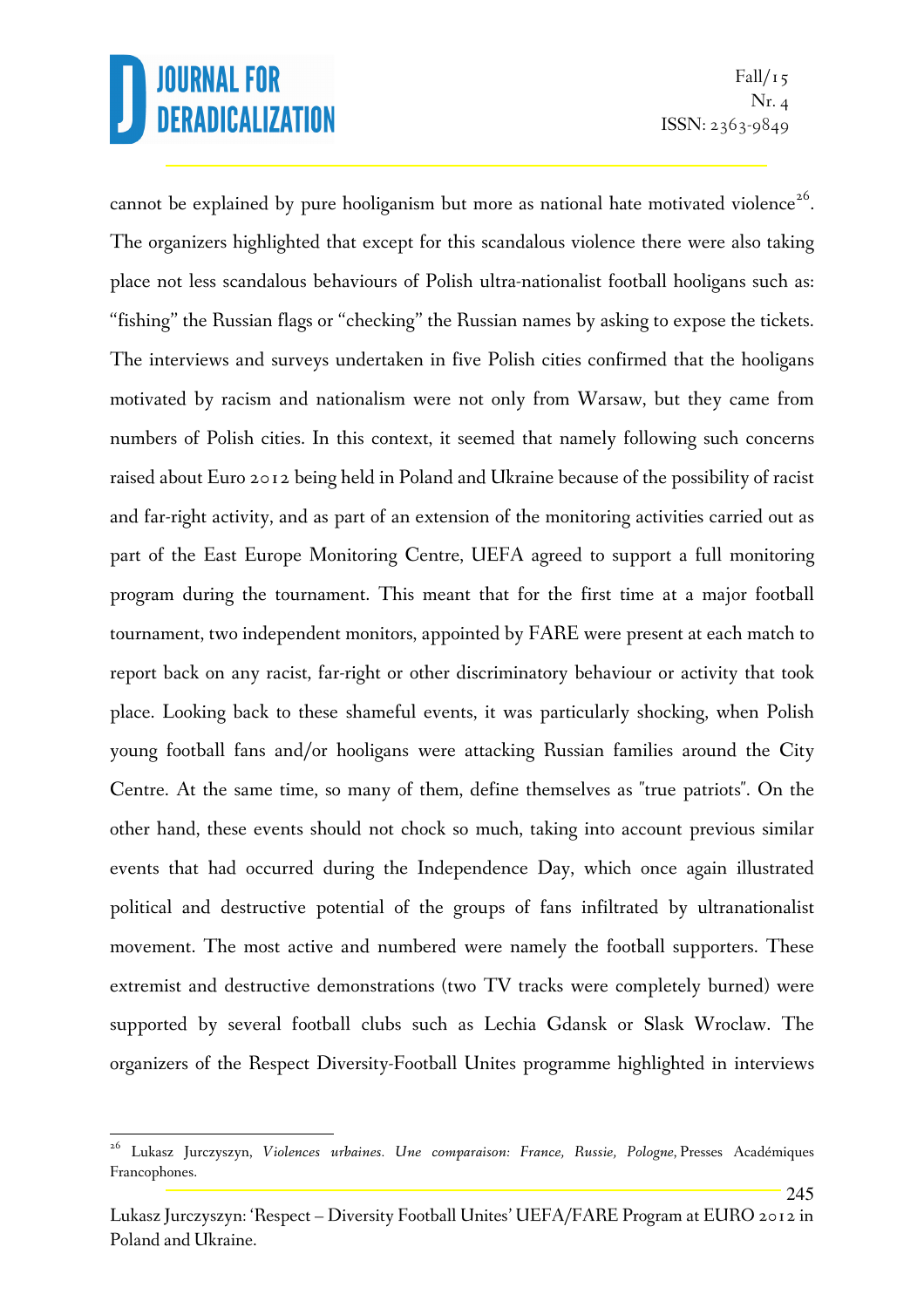l.

245

cannot be explained by pure hooliganism but more as national hate motivated violence<sup>26</sup>. The organizers highlighted that except for this scandalous violence there were also taking place not less scandalous behaviours of Polish ultra-nationalist football hooligans such as: "fishing" the Russian flags or "checking" the Russian names by asking to expose the tickets. The interviews and surveys undertaken in five Polish cities confirmed that the hooligans motivated by racism and nationalism were not only from Warsaw, but they came from numbers of Polish cities. In this context, it seemed that namely following such concerns raised about Euro 2012 being held in Poland and Ukraine because of the possibility of racist and far-right activity, and as part of an extension of the monitoring activities carried out as part of the East Europe Monitoring Centre, UEFA agreed to support a full monitoring program during the tournament. This meant that for the first time at a major football tournament, two independent monitors, appointed by FARE were present at each match to report back on any racist, far-right or other discriminatory behaviour or activity that took place. Looking back to these shameful events, it was particularly shocking, when Polish young football fans and/or hooligans were attacking Russian families around the City Centre. At the same time, so many of them, define themselves as "true patriots". On the other hand, these events should not chock so much, taking into account previous similar events that had occurred during the Independence Day, which once again illustrated political and destructive potential of the groups of fans infiltrated by ultranationalist movement. The most active and numbered were namely the football supporters. These extremist and destructive demonstrations (two TV tracks were completely burned) were supported by several football clubs such as Lechia Gdansk or Slask Wroclaw. The organizers of the Respect Diversity-Football Unites programme highlighted in interviews

<sup>26</sup> Lukasz Jurczyszyn, *Violences urbaines. Une comparaison: France, Russie, Pologne*, Presses Académiques Francophones.

Lukasz Jurczyszyn: 'Respect – Diversity Football Unites' UEFA/FARE Program at EURO 2012 in Poland and Ukraine.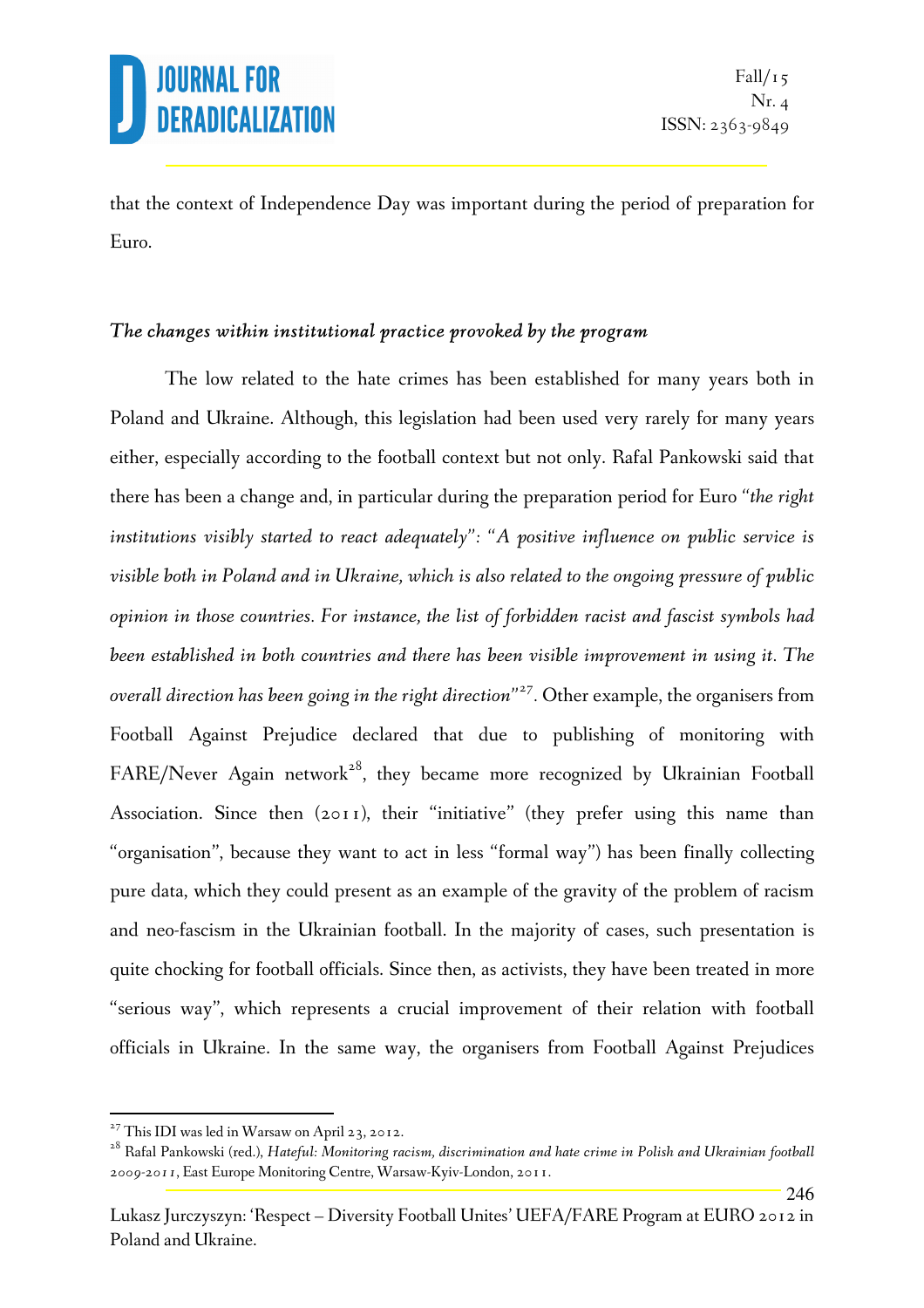246

that the context of Independence Day was important during the period of preparation for Euro.

#### *The changes within institutional practice provoked by the program*

The low related to the hate crimes has been established for many years both in Poland and Ukraine. Although, this legislation had been used very rarely for many years either, especially according to the football context but not only. Rafal Pankowski said that there has been a change and, in particular during the preparation period for Euro *"the right institutions visibly started to react adequately": "A positive influence on public service is visible both in Poland and in Ukraine, which is also related to the ongoing pressure of public opinion in those countries. For instance, the list of forbidden racist and fascist symbols had been established in both countries and there has been visible improvement in using it. The overall direction has been going in the right direction"<sup>27</sup> .* Other example, the organisers from Football Against Prejudice declared that due to publishing of monitoring with FARE/Never Again network<sup>28</sup>, they became more recognized by Ukrainian Football Association. Since then (2011), their "initiative" (they prefer using this name than "organisation", because they want to act in less "formal way") has been finally collecting pure data, which they could present as an example of the gravity of the problem of racism and neo-fascism in the Ukrainian football. In the majority of cases, such presentation is quite chocking for football officials. Since then, as activists, they have been treated in more "serious way", which represents a crucial improvement of their relation with football officials in Ukraine. In the same way, the organisers from Football Against Prejudices

 $27$  This IDI was led in Warsaw on April 23, 2012.

<sup>28</sup> Rafal Pankowski (red.), *Hateful: Monitoring racism, discrimination and hate crime in Polish and Ukrainian football 2009-2011*, East Europe Monitoring Centre, Warsaw-Kyiv-London, 2011.

Lukasz Jurczyszyn: 'Respect – Diversity Football Unites' UEFA/FARE Program at EURO 2012 in Poland and Ukraine.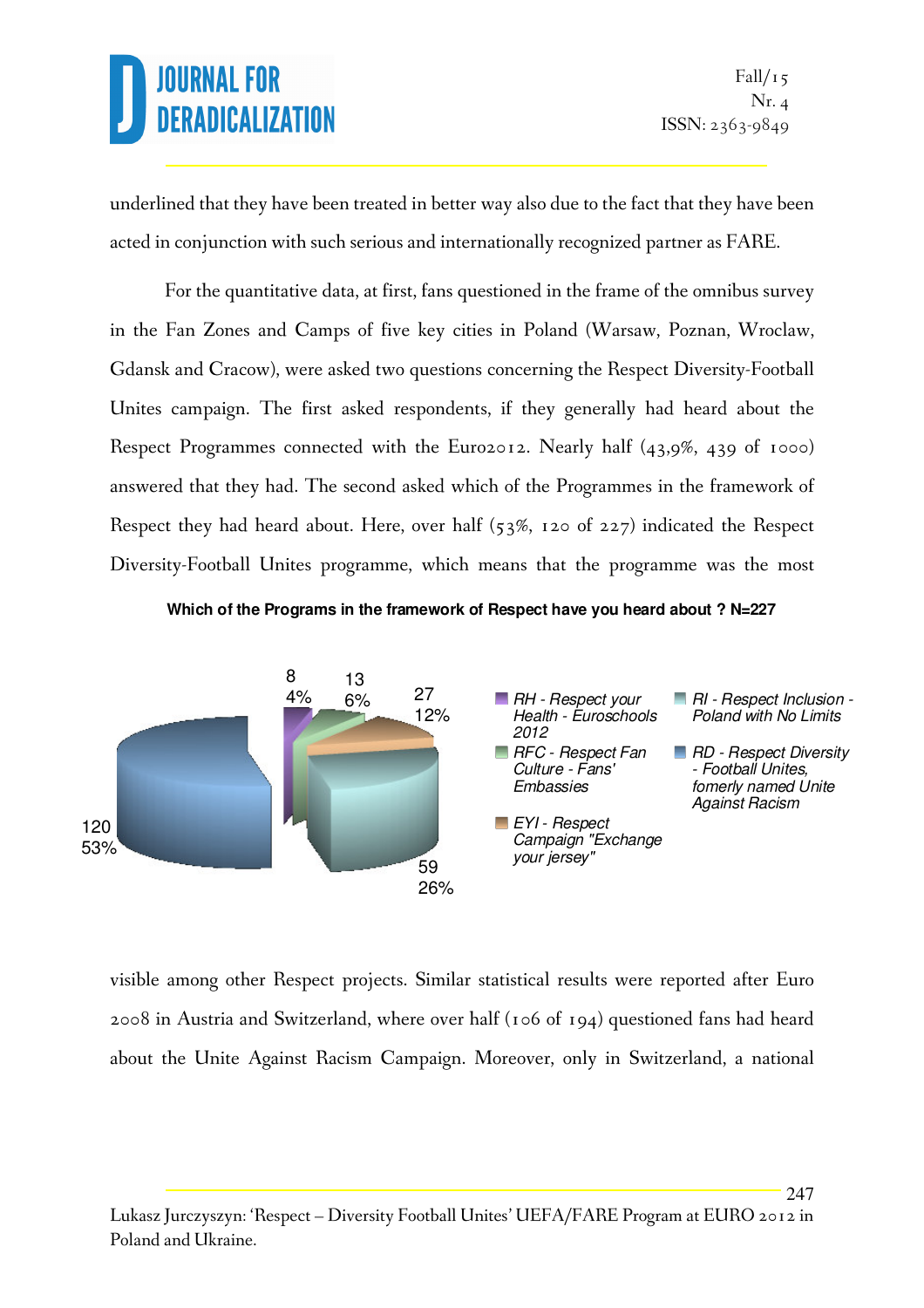247

underlined that they have been treated in better way also due to the fact that they have been acted in conjunction with such serious and internationally recognized partner as FARE.

 For the quantitative data, at first, fans questioned in the frame of the omnibus survey in the Fan Zones and Camps of five key cities in Poland (Warsaw, Poznan, Wroclaw, Gdansk and Cracow), were asked two questions concerning the Respect Diversity-Football Unites campaign. The first asked respondents, if they generally had heard about the Respect Programmes connected with the Euro2012. Nearly half (43,9%, 439 of 1000) answered that they had. The second asked which of the Programmes in the framework of Respect they had heard about. Here, over half (53%, 120 of 227) indicated the Respect Diversity-Football Unites programme, which means that the programme was the most

**Which of the Programs in the framework of Respect have you heard about ? N=227**



visible among other Respect projects. Similar statistical results were reported after Euro 2008 in Austria and Switzerland, where over half (106 of 194) questioned fans had heard about the Unite Against Racism Campaign. Moreover, only in Switzerland, a national

Lukasz Jurczyszyn: 'Respect – Diversity Football Unites' UEFA/FARE Program at EURO 2012 in Poland and Ukraine.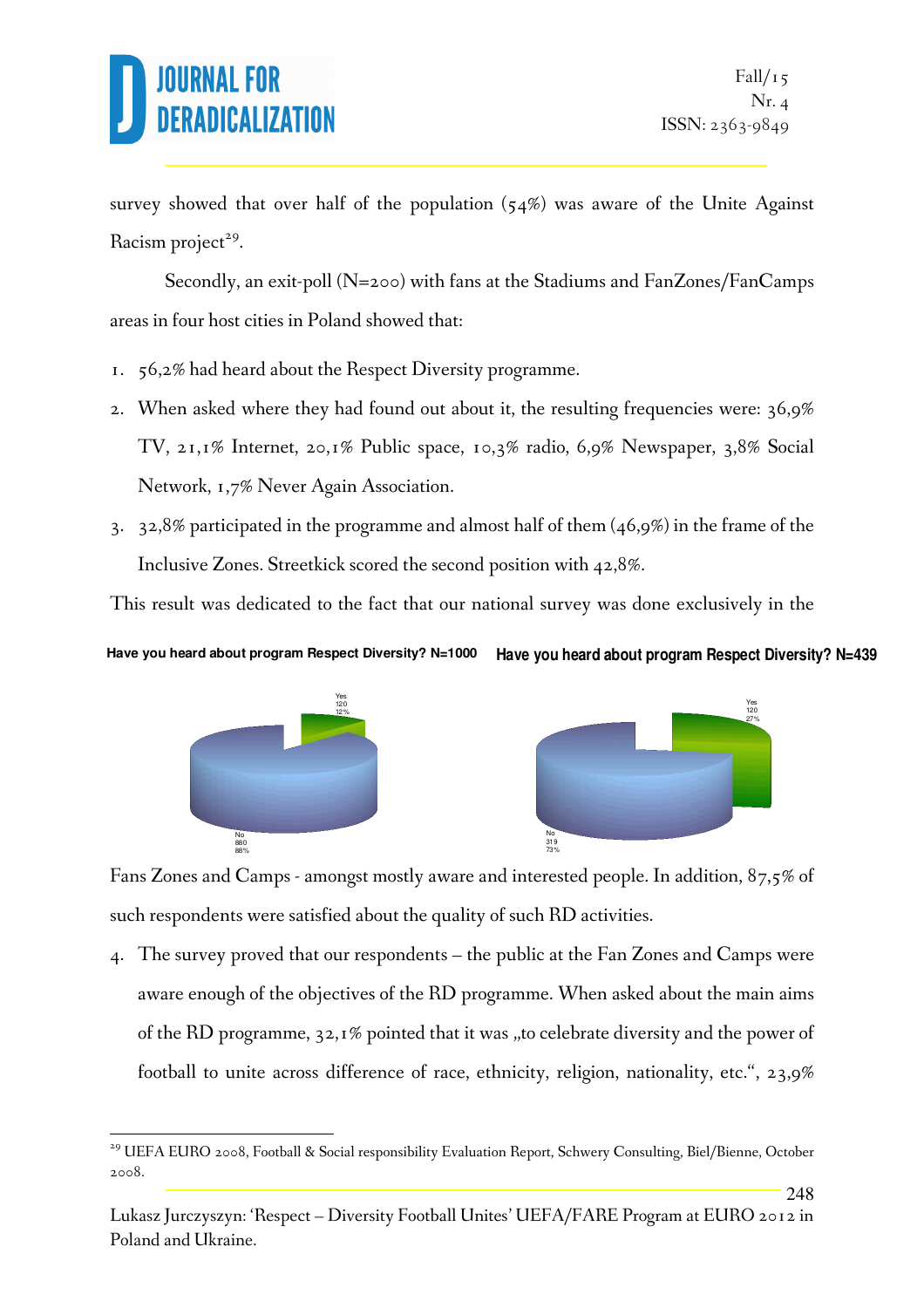# RADICALIZI

survey showed that over half of the population  $(54%)$  was aware of the Unite Against Racism project<sup>29</sup>.

 Secondly, an exit-poll (N=200) with fans at the Stadiums and FanZones/FanCamps areas in four host cities in Poland showed that:

- 1. 56,2% had heard about the Respect Diversity programme.
- 2. When asked where they had found out about it, the resulting frequencies were: 36,9% TV, 21,1% Internet, 20,1% Public space, 10,3% radio, 6,9% Newspaper, 3,8% Social Network, 1,7% Never Again Association.
- 3. 32,8% participated in the programme and almost half of them (46,9%) in the frame of the Inclusive Zones. Streetkick scored the second position with 42,8%.

This result was dedicated to the fact that our national survey was done exclusively in the

#### **Have you heard about program Respect Diversity? N=439 Have you heard about program Respect Diversity? N=1000**



l.



248

Fans Zones and Camps - amongst mostly aware and interested people. In addition, 87,5% of such respondents were satisfied about the quality of such RD activities.

4. The survey proved that our respondents – the public at the Fan Zones and Camps were aware enough of the objectives of the RD programme. When asked about the main aims of the RD programme,  $32,1\%$  pointed that it was "to celebrate diversity and the power of football to unite across difference of race, ethnicity, religion, nationality, etc.", 23,9%

<sup>&</sup>lt;sup>29</sup> UEFA EURO 2008, Football & Social responsibility Evaluation Report, Schwery Consulting, Biel/Bienne, October 2008.

Lukasz Jurczyszyn: 'Respect – Diversity Football Unites' UEFA/FARE Program at EURO 2012 in Poland and Ukraine.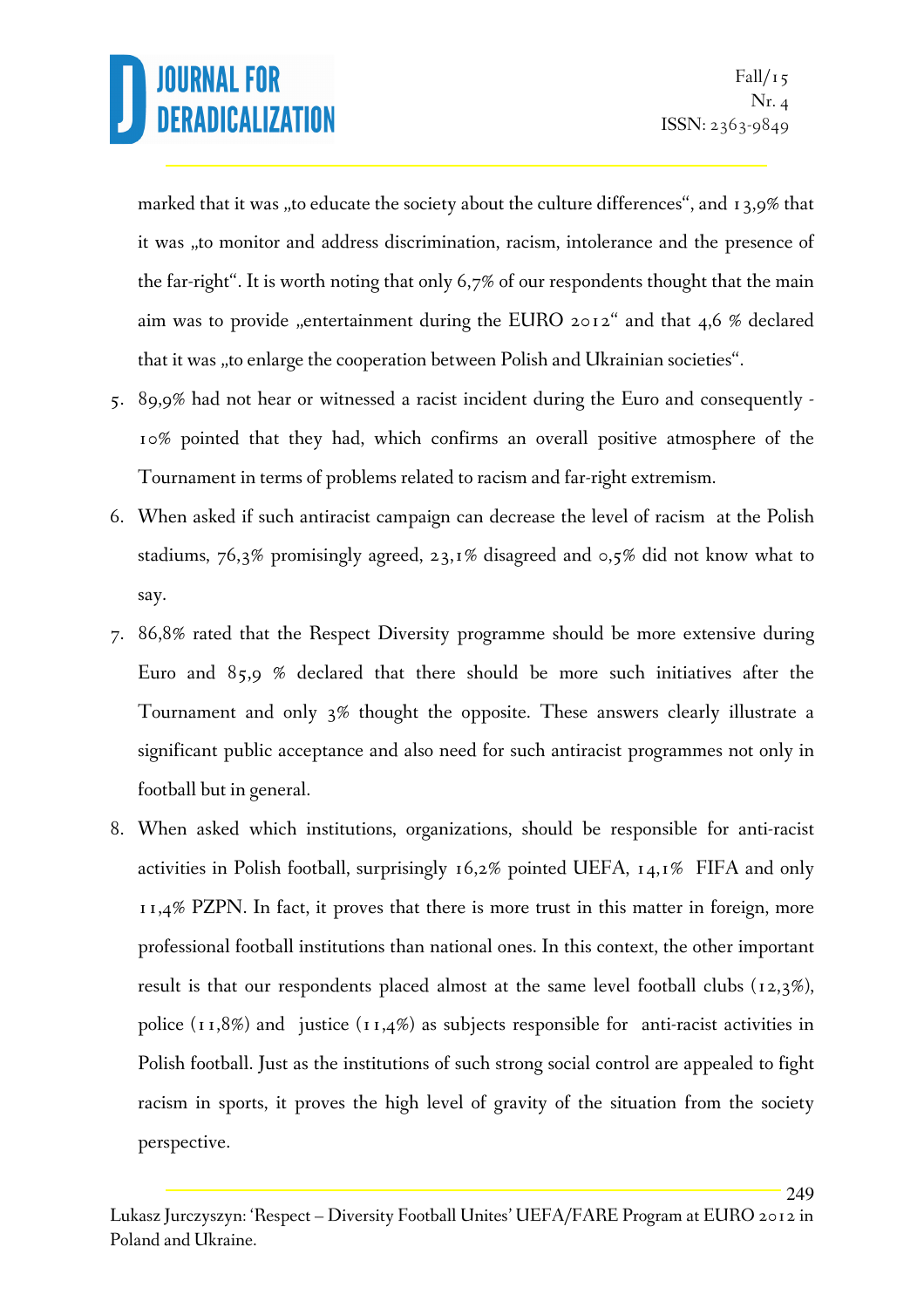249

marked that it was "to educate the society about the culture differences", and 13,9% that it was "to monitor and address discrimination, racism, intolerance and the presence of the far-right". It is worth noting that only 6,7% of our respondents thought that the main aim was to provide "entertainment during the EURO 2012" and that 4,6 % declared that it was "to enlarge the cooperation between Polish and Ukrainian societies".

- 5. 89,9% had not hear or witnessed a racist incident during the Euro and consequently 10% pointed that they had, which confirms an overall positive atmosphere of the Tournament in terms of problems related to racism and far-right extremism.
- 6. When asked if such antiracist campaign can decrease the level of racism at the Polish stadiums, 76,3% promisingly agreed, 23,1% disagreed and 0,5% did not know what to say.
- 7. 86,8% rated that the Respect Diversity programme should be more extensive during Euro and 85,9 % declared that there should be more such initiatives after the Tournament and only 3% thought the opposite. These answers clearly illustrate a significant public acceptance and also need for such antiracist programmes not only in football but in general.
- 8. When asked which institutions, organizations, should be responsible for anti-racist activities in Polish football, surprisingly 16,2% pointed UEFA, 14,1% FIFA and only 11,4% PZPN. In fact, it proves that there is more trust in this matter in foreign, more professional football institutions than national ones. In this context, the other important result is that our respondents placed almost at the same level football clubs (12,3%), police  $(11,8\%)$  and justice  $(11,4\%)$  as subjects responsible for anti-racist activities in Polish football. Just as the institutions of such strong social control are appealed to fight racism in sports, it proves the high level of gravity of the situation from the society perspective.

Lukasz Jurczyszyn: 'Respect – Diversity Football Unites' UEFA/FARE Program at EURO 2012 in Poland and Ukraine.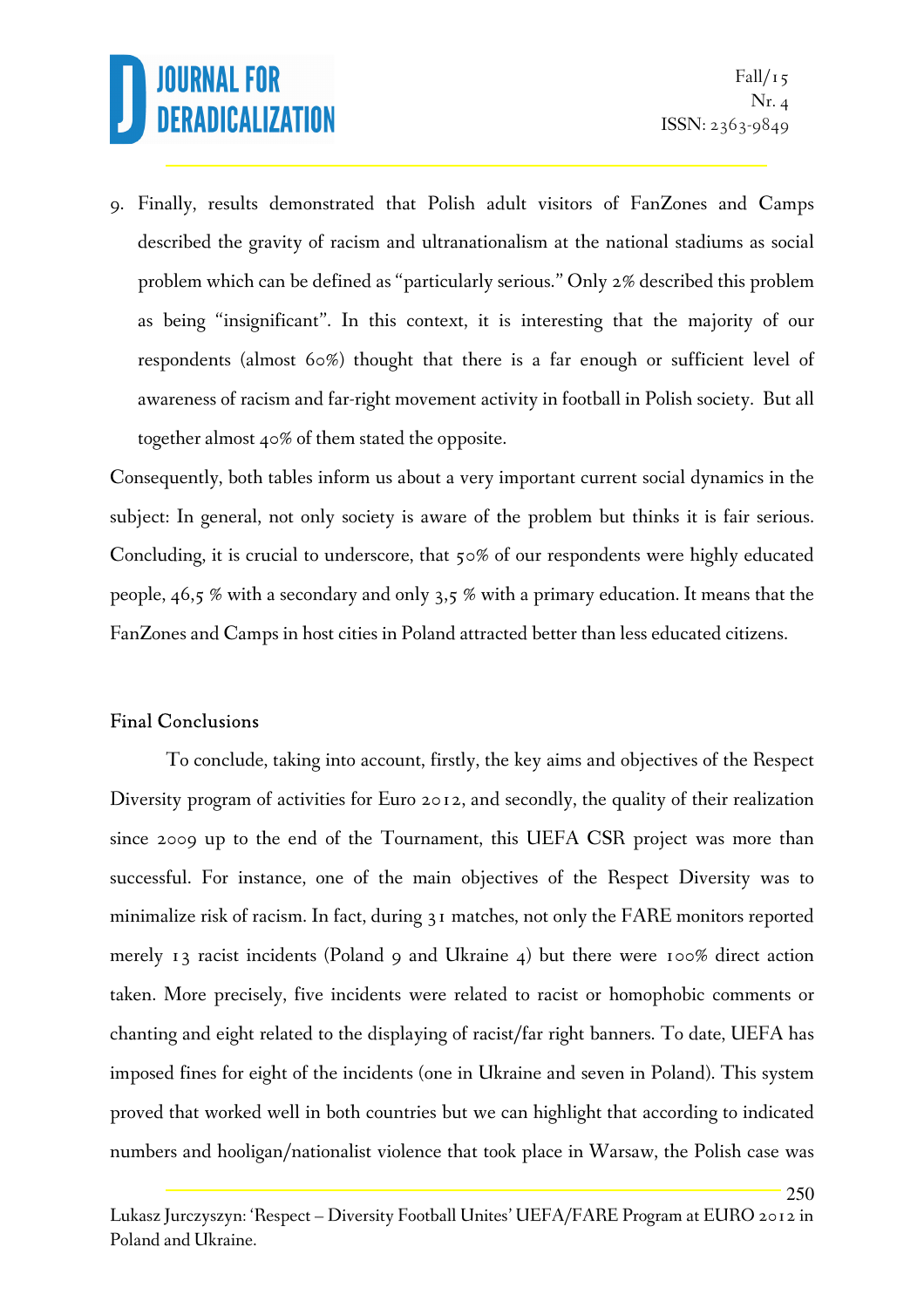250

9. Finally, results demonstrated that Polish adult visitors of FanZones and Camps described the gravity of racism and ultranationalism at the national stadiums as social problem which can be defined as "particularly serious." Only 2% described this problem as being "insignificant". In this context, it is interesting that the majority of our respondents (almost 60%) thought that there is a far enough or sufficient level of awareness of racism and far-right movement activity in football in Polish society. But all together almost 40% of them stated the opposite.

Consequently, both tables inform us about a very important current social dynamics in the subject: In general, not only society is aware of the problem but thinks it is fair serious. Concluding, it is crucial to underscore, that 50% of our respondents were highly educated people, 46,5 % with a secondary and only 3,5 % with a primary education. It means that the FanZones and Camps in host cities in Poland attracted better than less educated citizens.

#### Final Conclusions

To conclude, taking into account, firstly, the key aims and objectives of the Respect Diversity program of activities for Euro 2012, and secondly, the quality of their realization since 2009 up to the end of the Tournament, this UEFA CSR project was more than successful. For instance, one of the main objectives of the Respect Diversity was to minimalize risk of racism. In fact, during 31 matches, not only the FARE monitors reported merely 13 racist incidents (Poland 9 and Ukraine 4) but there were 100% direct action taken. More precisely, five incidents were related to racist or homophobic comments or chanting and eight related to the displaying of racist/far right banners. To date, UEFA has imposed fines for eight of the incidents (one in Ukraine and seven in Poland). This system proved that worked well in both countries but we can highlight that according to indicated numbers and hooligan/nationalist violence that took place in Warsaw, the Polish case was

Lukasz Jurczyszyn: 'Respect – Diversity Football Unites' UEFA/FARE Program at EURO 2012 in Poland and Ukraine.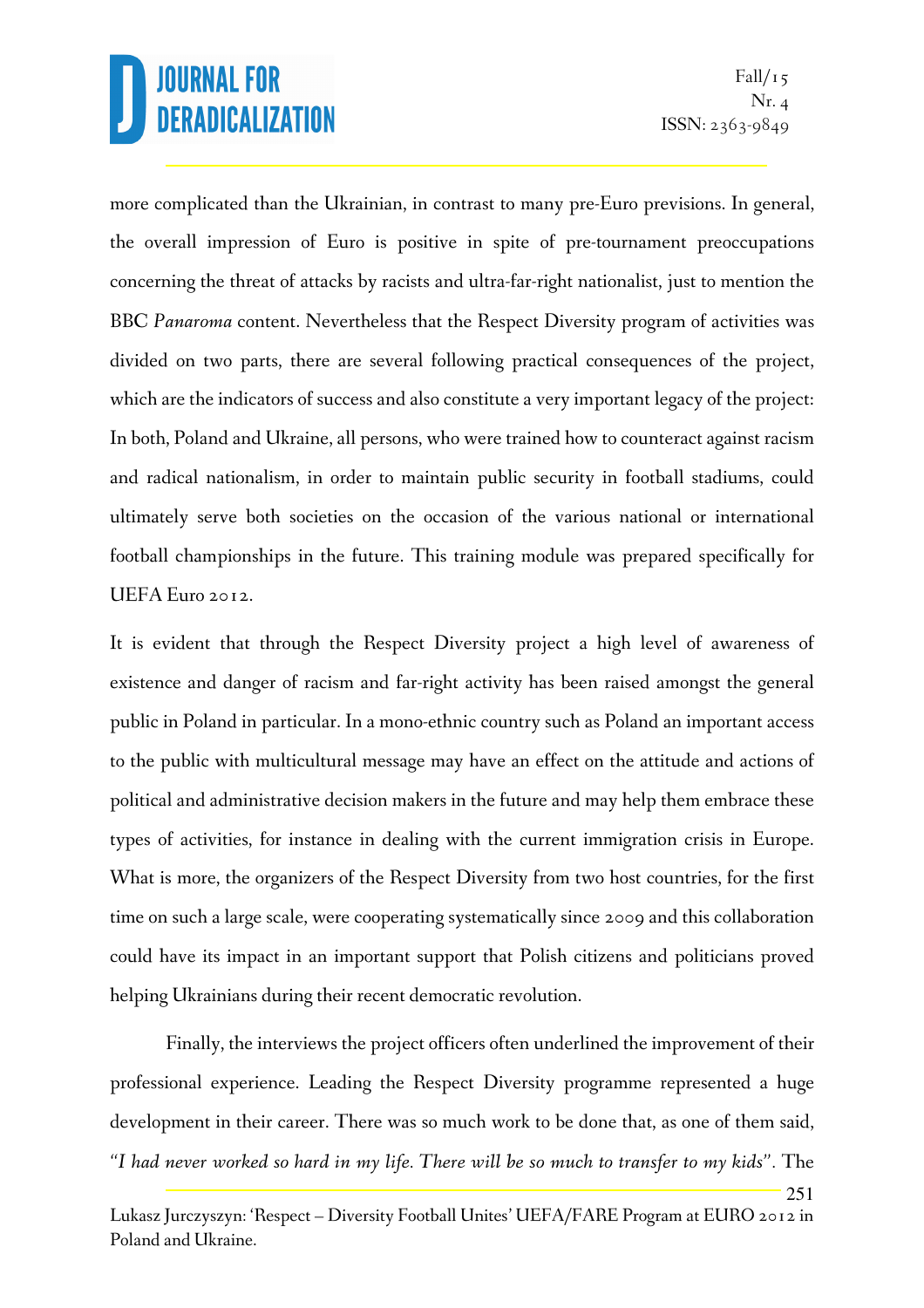251

more complicated than the Ukrainian, in contrast to many pre-Euro previsions. In general, the overall impression of Euro is positive in spite of pre-tournament preoccupations concerning the threat of attacks by racists and ultra-far-right nationalist, just to mention the BBC *Panaroma* content. Nevertheless that the Respect Diversity program of activities was divided on two parts, there are several following practical consequences of the project, which are the indicators of success and also constitute a very important legacy of the project: In both, Poland and Ukraine, all persons, who were trained how to counteract against racism and radical nationalism, in order to maintain public security in football stadiums, could ultimately serve both societies on the occasion of the various national or international football championships in the future. This training module was prepared specifically for UEFA Euro 2012.

It is evident that through the Respect Diversity project a high level of awareness of existence and danger of racism and far-right activity has been raised amongst the general public in Poland in particular. In a mono-ethnic country such as Poland an important access to the public with multicultural message may have an effect on the attitude and actions of political and administrative decision makers in the future and may help them embrace these types of activities, for instance in dealing with the current immigration crisis in Europe. What is more, the organizers of the Respect Diversity from two host countries, for the first time on such a large scale, were cooperating systematically since 2009 and this collaboration could have its impact in an important support that Polish citizens and politicians proved helping Ukrainians during their recent democratic revolution.

Finally, the interviews the project officers often underlined the improvement of their professional experience. Leading the Respect Diversity programme represented a huge development in their career. There was so much work to be done that, as one of them said, *"I had never worked so hard in my life. There will be so much to transfer to my kids".* The

Lukasz Jurczyszyn: 'Respect – Diversity Football Unites' UEFA/FARE Program at EURO 2012 in Poland and Ukraine.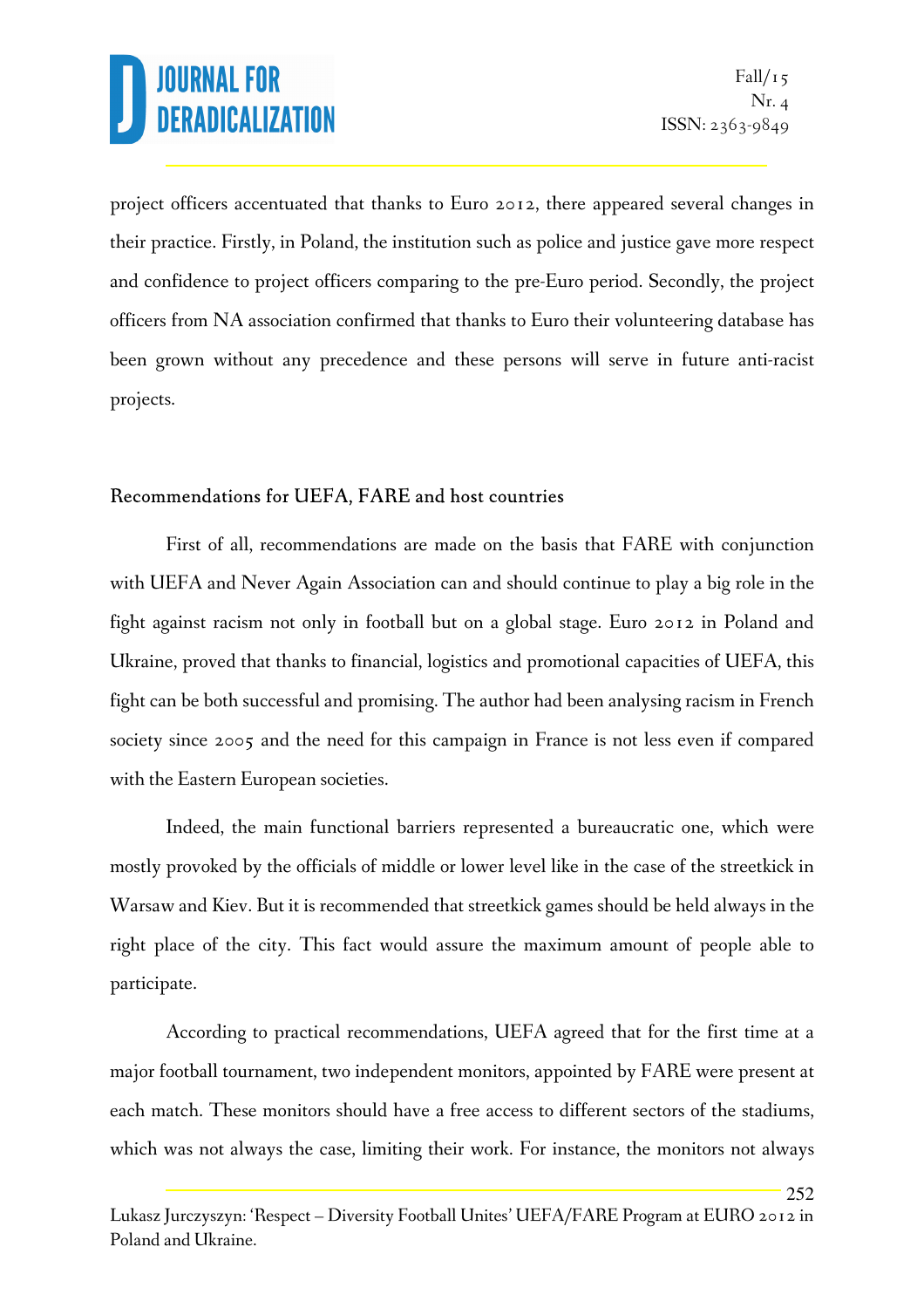252

project officers accentuated that thanks to Euro 2012, there appeared several changes in their practice. Firstly, in Poland, the institution such as police and justice gave more respect and confidence to project officers comparing to the pre-Euro period. Secondly, the project officers from NA association confirmed that thanks to Euro their volunteering database has been grown without any precedence and these persons will serve in future anti-racist projects.

#### Recommendations for UEFA, FARE and host countries

First of all, recommendations are made on the basis that FARE with conjunction with UEFA and Never Again Association can and should continue to play a big role in the fight against racism not only in football but on a global stage. Euro 2012 in Poland and Ukraine, proved that thanks to financial, logistics and promotional capacities of UEFA, this fight can be both successful and promising. The author had been analysing racism in French society since 2005 and the need for this campaign in France is not less even if compared with the Eastern European societies.

Indeed, the main functional barriers represented a bureaucratic one, which were mostly provoked by the officials of middle or lower level like in the case of the streetkick in Warsaw and Kiev. But it is recommended that streetkick games should be held always in the right place of the city. This fact would assure the maximum amount of people able to participate.

According to practical recommendations, UEFA agreed that for the first time at a major football tournament, two independent monitors, appointed by FARE were present at each match. These monitors should have a free access to different sectors of the stadiums, which was not always the case, limiting their work. For instance, the monitors not always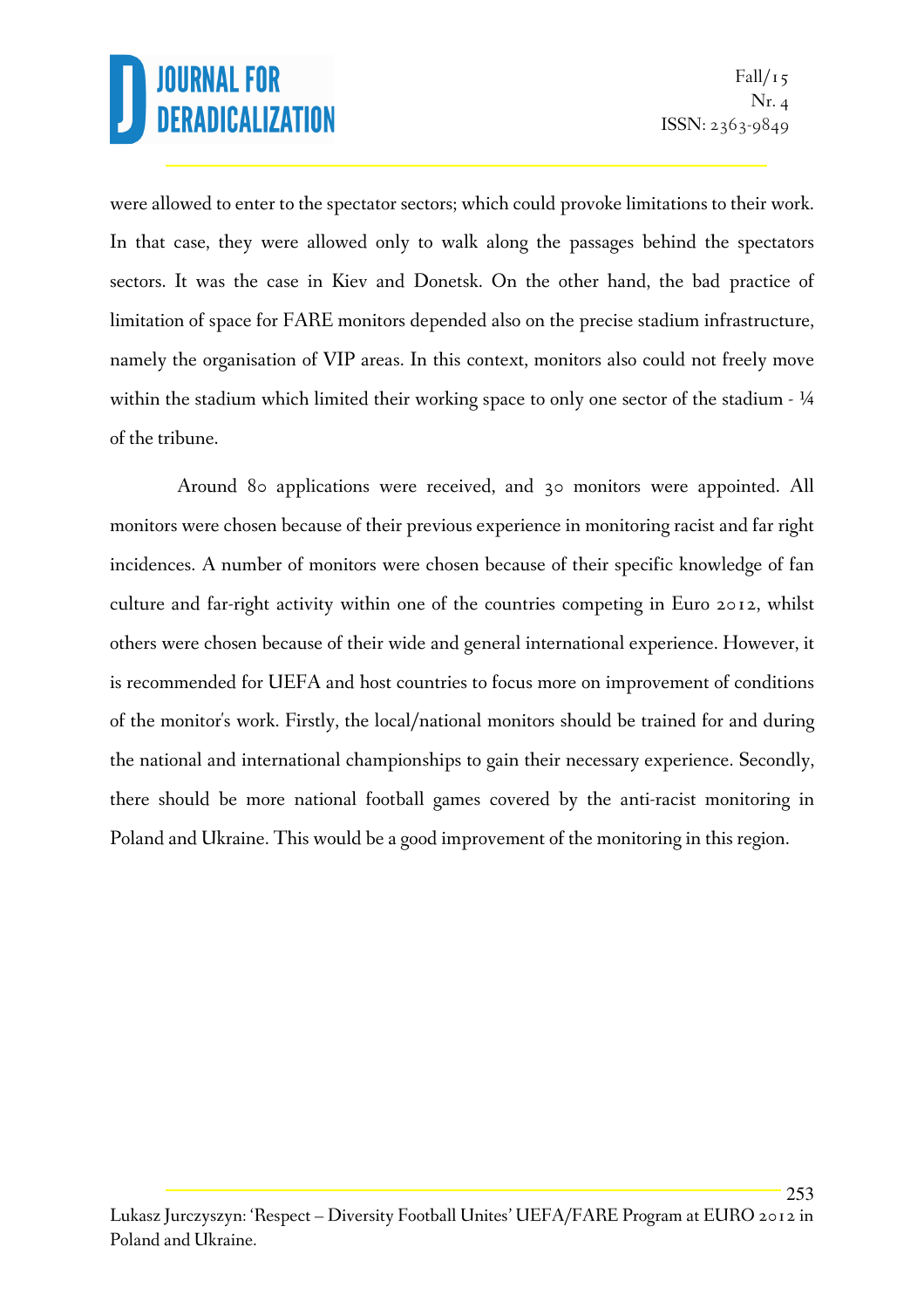253

were allowed to enter to the spectator sectors; which could provoke limitations to their work. In that case, they were allowed only to walk along the passages behind the spectators sectors. It was the case in Kiev and Donetsk. On the other hand, the bad practice of limitation of space for FARE monitors depended also on the precise stadium infrastructure, namely the organisation of VIP areas. In this context, monitors also could not freely move within the stadium which limited their working space to only one sector of the stadium -  $\frac{1}{4}$ of the tribune.

 Around 80 applications were received, and 30 monitors were appointed. All monitors were chosen because of their previous experience in monitoring racist and far right incidences. A number of monitors were chosen because of their specific knowledge of fan culture and far-right activity within one of the countries competing in Euro 2012, whilst others were chosen because of their wide and general international experience. However, it is recommended for UEFA and host countries to focus more on improvement of conditions of the monitor's work. Firstly, the local/national monitors should be trained for and during the national and international championships to gain their necessary experience. Secondly, there should be more national football games covered by the anti-racist monitoring in Poland and Ukraine. This would be a good improvement of the monitoring in this region.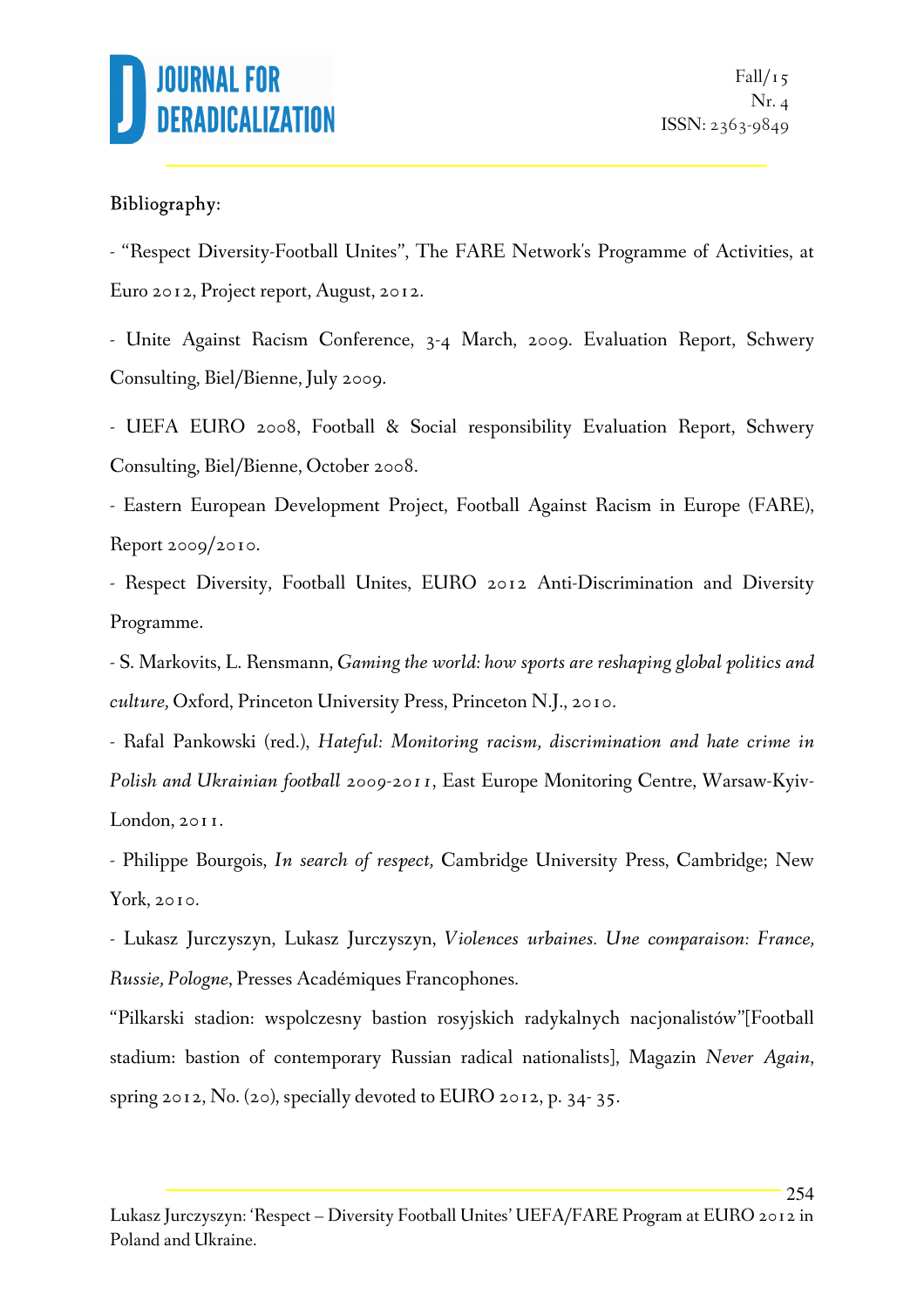

254

#### Bibliography:

- "Respect Diversity-Football Unites", The FARE Network's Programme of Activities, at Euro 2012, Project report, August, 2012.

- Unite Against Racism Conference, 3-4 March, 2009. Evaluation Report, Schwery Consulting, Biel/Bienne, July 2009.

- UEFA EURO 2008, Football & Social responsibility Evaluation Report, Schwery Consulting, Biel/Bienne, October 2008.

- Eastern European Development Project, Football Against Racism in Europe (FARE), Report 2009/2010.

- Respect Diversity, Football Unites, EURO 2012 Anti-Discrimination and Diversity Programme.

- S. Markovits, L. Rensmann, *Gaming the world: how sports are reshaping global politics and culture,* Oxford, Princeton University Press, Princeton N.J., 2010.

- Rafal Pankowski (red.), *Hateful: Monitoring racism, discrimination and hate crime in Polish and Ukrainian football 2009-2011*, East Europe Monitoring Centre, Warsaw-Kyiv-London, 2011.

- Philippe Bourgois, *In search of respect,* Cambridge University Press, Cambridge; New York, 2010.

- Lukasz Jurczyszyn, Lukasz Jurczyszyn, *Violences urbaines. Une comparaison: France, Russie, Pologne*, Presses Académiques Francophones.

"Pilkarski stadion: wspolczesny bastion rosyjskich radykalnych nacjonalistów"[Football stadium: bastion of contemporary Russian radical nationalists], Magazin *Never Again*, spring 2012, No. (20), specially devoted to EURO 2012, p. 34- 35.